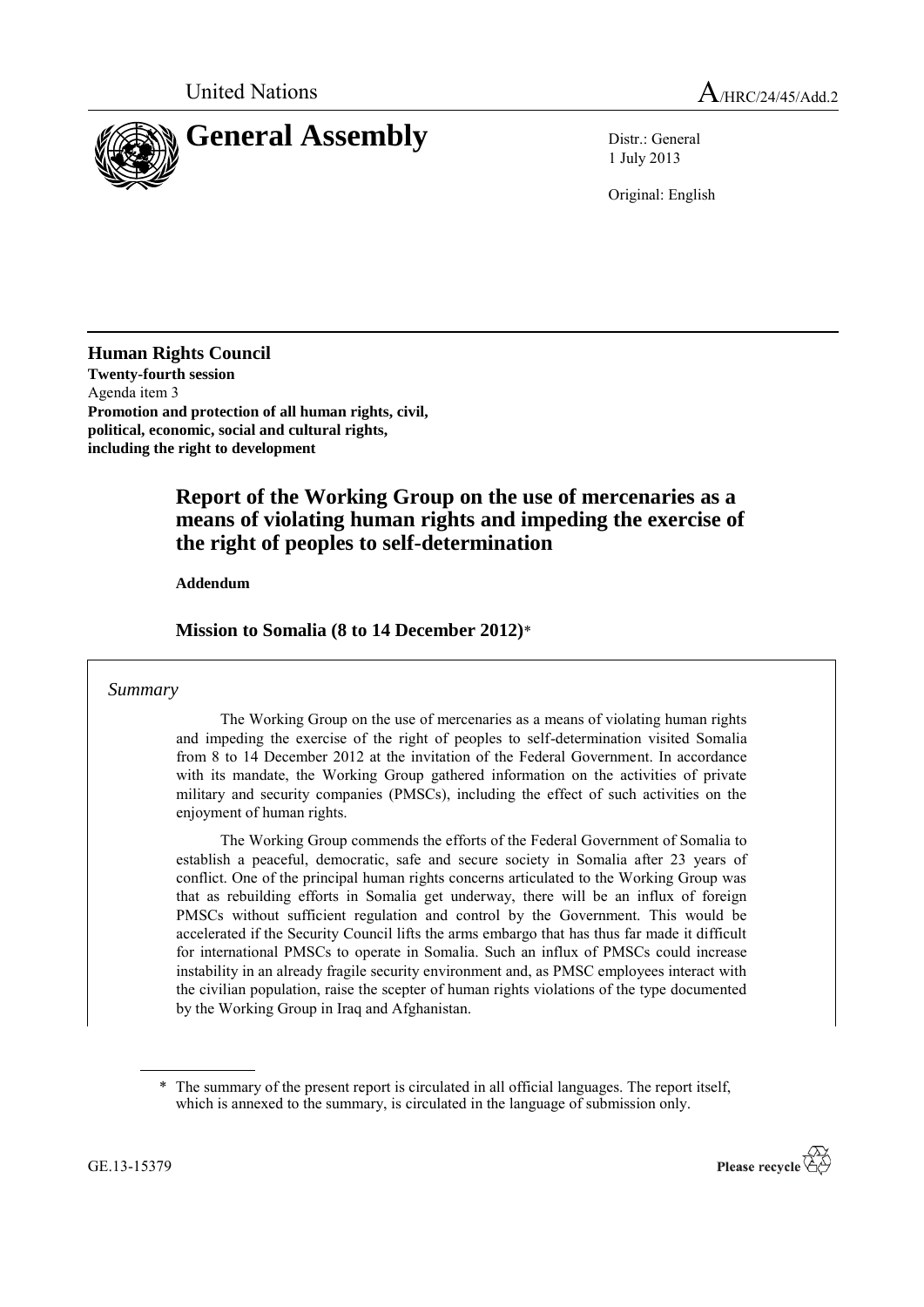

1 July 2013

Original: English

**Human Rights Council Twenty-fourth session** Agenda item 3 **Promotion and protection of all human rights, civil, political, economic, social and cultural rights, including the right to development** 

# **Report of the Working Group on the use of mercenaries as a means of violating human rights and impeding the exercise of the right of peoples to self-determination**

**Addendum**

**Mission to Somalia (8 to 14 December 2012)**\*

## *Summary*

The Working Group on the use of mercenaries as a means of violating human rights and impeding the exercise of the right of peoples to self-determination visited Somalia from 8 to 14 December 2012 at the invitation of the Federal Government. In accordance with its mandate, the Working Group gathered information on the activities of private military and security companies (PMSCs), including the effect of such activities on the enjoyment of human rights.

The Working Group commends the efforts of the Federal Government of Somalia to establish a peaceful, democratic, safe and secure society in Somalia after 23 years of conflict. One of the principal human rights concerns articulated to the Working Group was that as rebuilding efforts in Somalia get underway, there will be an influx of foreign PMSCs without sufficient regulation and control by the Government. This would be accelerated if the Security Council lifts the arms embargo that has thus far made it difficult for international PMSCs to operate in Somalia. Such an influx of PMSCs could increase instability in an already fragile security environment and, as PMSC employees interact with the civilian population, raise the scepter of human rights violations of the type documented by the Working Group in Iraq and Afghanistan.

<sup>\*</sup> The summary of the present report is circulated in all official languages. The report itself, which is annexed to the summary, is circulated in the language of submission only.



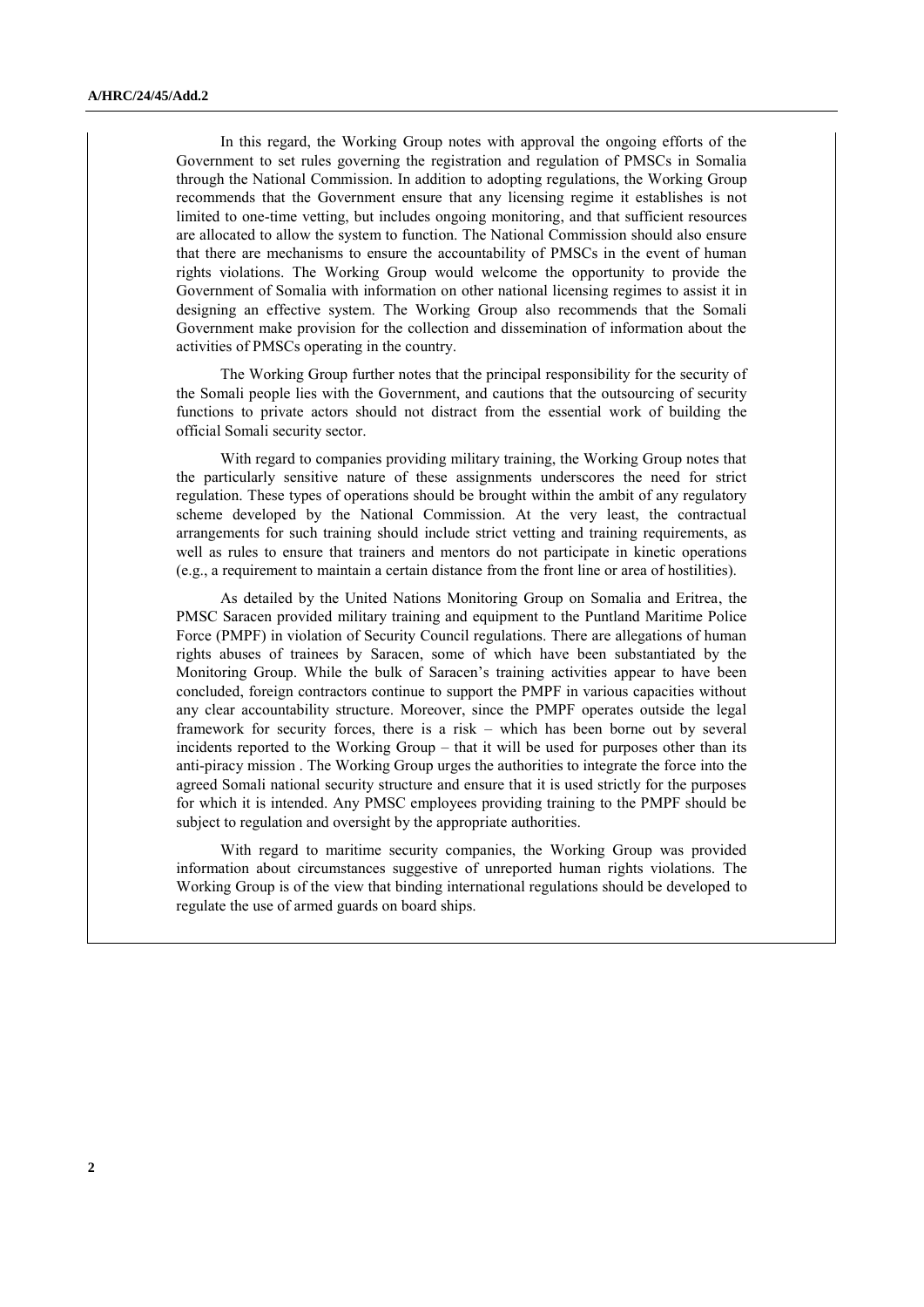In this regard, the Working Group notes with approval the ongoing efforts of the Government to set rules governing the registration and regulation of PMSCs in Somalia through the National Commission. In addition to adopting regulations, the Working Group recommends that the Government ensure that any licensing regime it establishes is not limited to one-time vetting, but includes ongoing monitoring, and that sufficient resources are allocated to allow the system to function. The National Commission should also ensure that there are mechanisms to ensure the accountability of PMSCs in the event of human rights violations. The Working Group would welcome the opportunity to provide the Government of Somalia with information on other national licensing regimes to assist it in designing an effective system. The Working Group also recommends that the Somali Government make provision for the collection and dissemination of information about the activities of PMSCs operating in the country.

The Working Group further notes that the principal responsibility for the security of the Somali people lies with the Government, and cautions that the outsourcing of security functions to private actors should not distract from the essential work of building the official Somali security sector.

With regard to companies providing military training, the Working Group notes that the particularly sensitive nature of these assignments underscores the need for strict regulation. These types of operations should be brought within the ambit of any regulatory scheme developed by the National Commission. At the very least, the contractual arrangements for such training should include strict vetting and training requirements, as well as rules to ensure that trainers and mentors do not participate in kinetic operations (e.g., a requirement to maintain a certain distance from the front line or area of hostilities).

As detailed by the United Nations Monitoring Group on Somalia and Eritrea, the PMSC Saracen provided military training and equipment to the Puntland Maritime Police Force (PMPF) in violation of Security Council regulations. There are allegations of human rights abuses of trainees by Saracen, some of which have been substantiated by the Monitoring Group. While the bulk of Saracen's training activities appear to have been concluded, foreign contractors continue to support the PMPF in various capacities without any clear accountability structure. Moreover, since the PMPF operates outside the legal framework for security forces, there is a risk – which has been borne out by several incidents reported to the Working Group – that it will be used for purposes other than its anti-piracy mission . The Working Group urges the authorities to integrate the force into the agreed Somali national security structure and ensure that it is used strictly for the purposes for which it is intended. Any PMSC employees providing training to the PMPF should be subject to regulation and oversight by the appropriate authorities.

With regard to maritime security companies, the Working Group was provided information about circumstances suggestive of unreported human rights violations. The Working Group is of the view that binding international regulations should be developed to regulate the use of armed guards on board ships.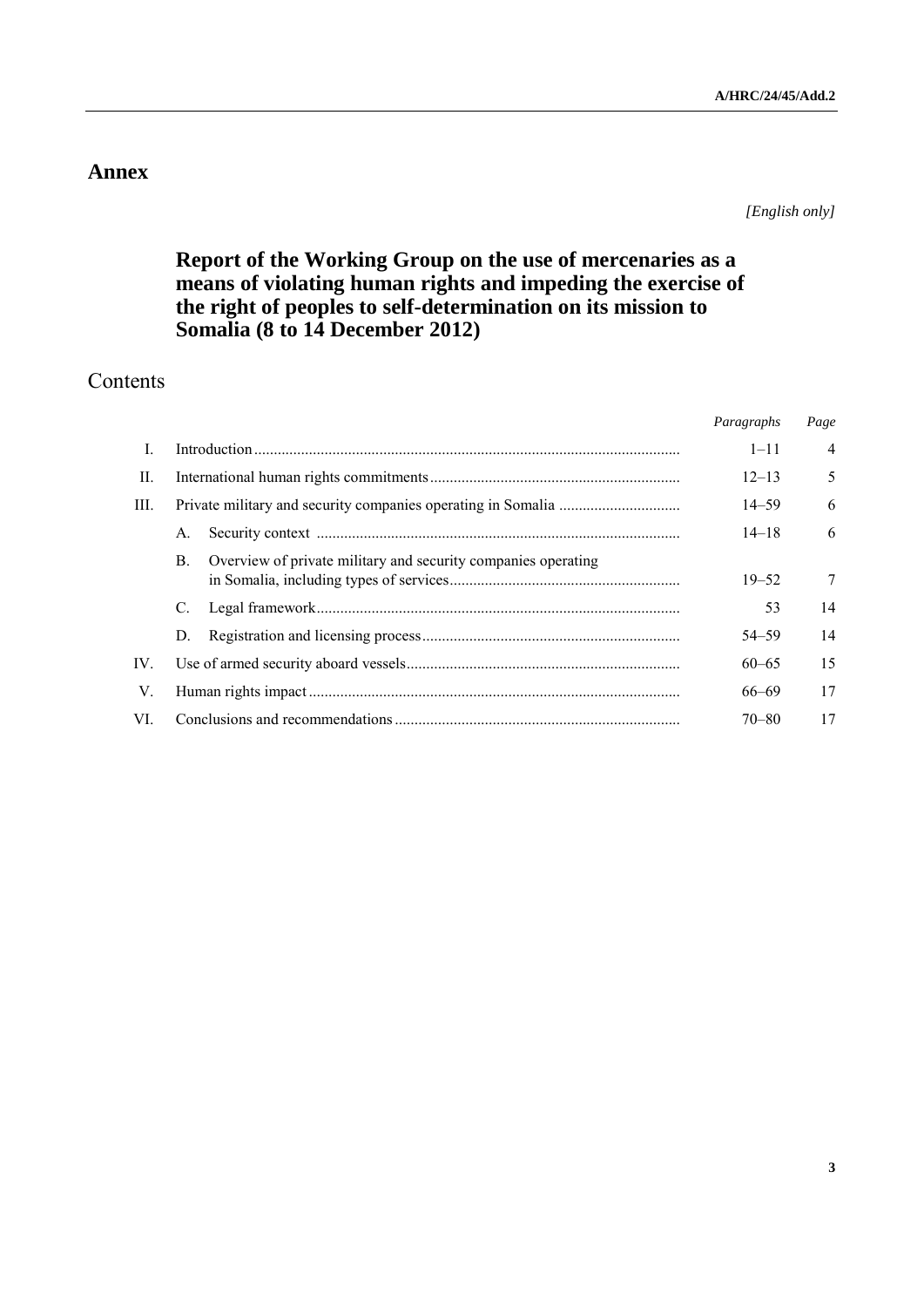# **Annex**

*[English only]*

# **Report of the Working Group on the use of mercenaries as a means of violating human rights and impeding the exercise of the right of peoples to self-determination on its mission to Somalia (8 to 14 December 2012)**

# Contents

|             |                |                                                               | Paragraphs | Page           |
|-------------|----------------|---------------------------------------------------------------|------------|----------------|
| L           |                |                                                               | $1 - 11$   | $\overline{4}$ |
| $\Pi$ .     |                |                                                               | $12 - 13$  | 5              |
| III.        |                |                                                               | $14 - 59$  | 6              |
|             | $\mathsf{A}$ . |                                                               | $14 - 18$  | 6              |
|             | B.             | Overview of private military and security companies operating | $19 - 52$  | $\overline{7}$ |
|             |                |                                                               | 53         | 14             |
|             | D.             |                                                               | $54 - 59$  | 14             |
| IV.         |                |                                                               | $60 - 65$  | 15             |
| $V_{\cdot}$ |                |                                                               | $66 - 69$  | 17             |
| VI          |                |                                                               | $70 - 80$  | 17             |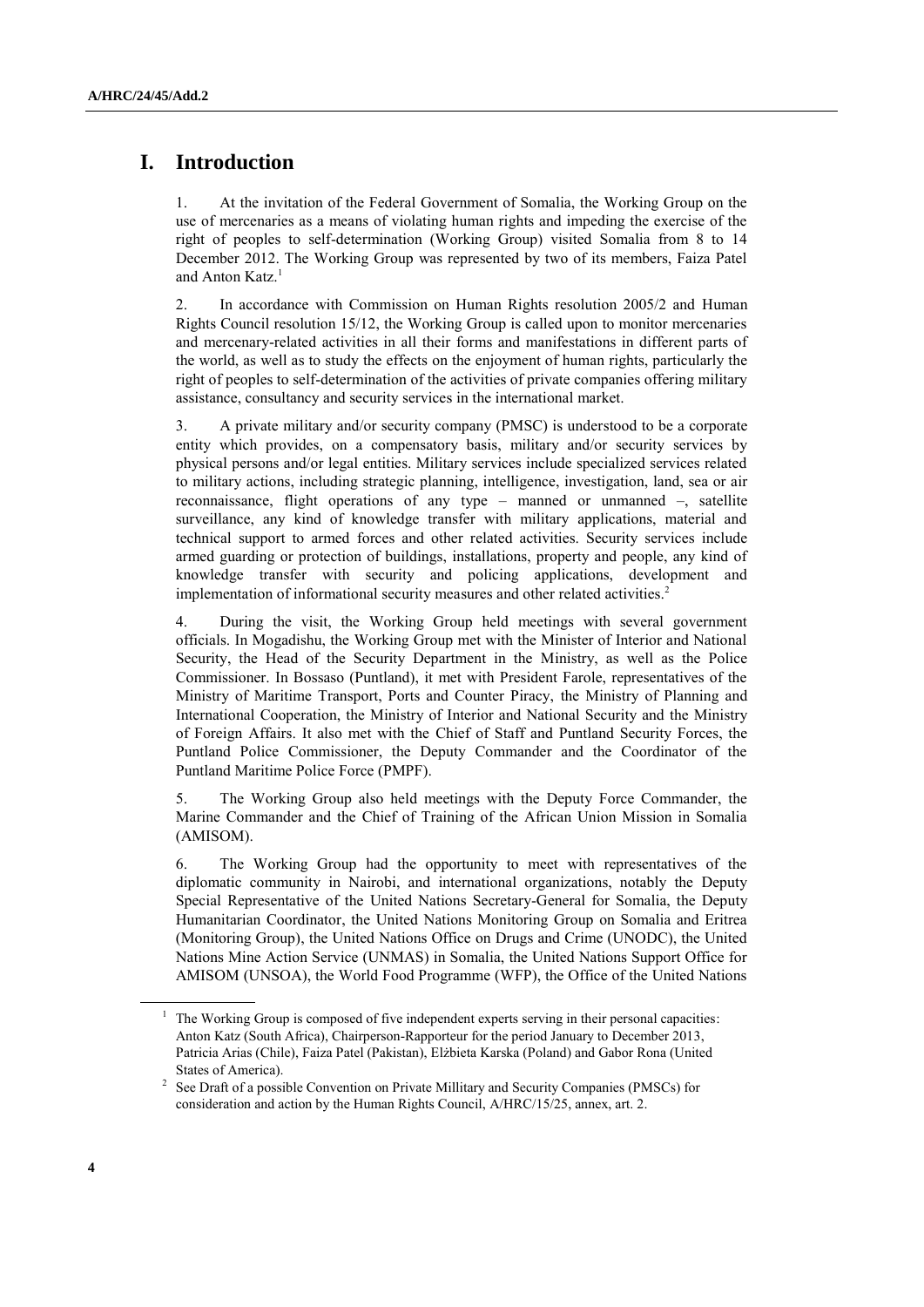# **I. Introduction**

1. At the invitation of the Federal Government of Somalia, the Working Group on the use of mercenaries as a means of violating human rights and impeding the exercise of the right of peoples to self-determination (Working Group) visited Somalia from 8 to 14 December 2012. The Working Group was represented by two of its members, Faiza Patel and Anton Katz.<sup>1</sup>

2. In accordance with Commission on Human Rights resolution 2005/2 and Human Rights Council resolution 15/12, the Working Group is called upon to monitor mercenaries and mercenary-related activities in all their forms and manifestations in different parts of the world, as well as to study the effects on the enjoyment of human rights, particularly the right of peoples to self-determination of the activities of private companies offering military assistance, consultancy and security services in the international market.

3. A private military and/or security company (PMSC) is understood to be a corporate entity which provides, on a compensatory basis, military and/or security services by physical persons and/or legal entities. Military services include specialized services related to military actions, including strategic planning, intelligence, investigation, land, sea or air reconnaissance, flight operations of any type – manned or unmanned –, satellite surveillance, any kind of knowledge transfer with military applications, material and technical support to armed forces and other related activities. Security services include armed guarding or protection of buildings, installations, property and people, any kind of knowledge transfer with security and policing applications, development and implementation of informational security measures and other related activities.<sup>2</sup>

4. During the visit, the Working Group held meetings with several government officials. In Mogadishu, the Working Group met with the Minister of Interior and National Security, the Head of the Security Department in the Ministry, as well as the Police Commissioner. In Bossaso (Puntland), it met with President Farole, representatives of the Ministry of Maritime Transport, Ports and Counter Piracy, the Ministry of Planning and International Cooperation, the Ministry of Interior and National Security and the Ministry of Foreign Affairs. It also met with the Chief of Staff and Puntland Security Forces, the Puntland Police Commissioner, the Deputy Commander and the Coordinator of the Puntland Maritime Police Force (PMPF).

5. The Working Group also held meetings with the Deputy Force Commander, the Marine Commander and the Chief of Training of the African Union Mission in Somalia (AMISOM).

6. The Working Group had the opportunity to meet with representatives of the diplomatic community in Nairobi, and international organizations, notably the Deputy Special Representative of the United Nations Secretary-General for Somalia, the Deputy Humanitarian Coordinator, the United Nations Monitoring Group on Somalia and Eritrea (Monitoring Group), the United Nations Office on Drugs and Crime (UNODC), the United Nations Mine Action Service (UNMAS) in Somalia, the United Nations Support Office for AMISOM (UNSOA), the World Food Programme (WFP), the Office of the United Nations

<sup>1</sup> The Working Group is composed of five independent experts serving in their personal capacities: Anton Katz (South Africa), Chairperson-Rapporteur for the period January to December 2013, Patricia Arias (Chile), Faiza Patel (Pakistan), Elżbieta Karska (Poland) and Gabor Rona (United States of America).

<sup>2</sup> See Draft of a possible Convention on Private Millitary and Security Companies (PMSCs) for consideration and action by the Human Rights Council, A/HRC/15/25, annex, art. 2.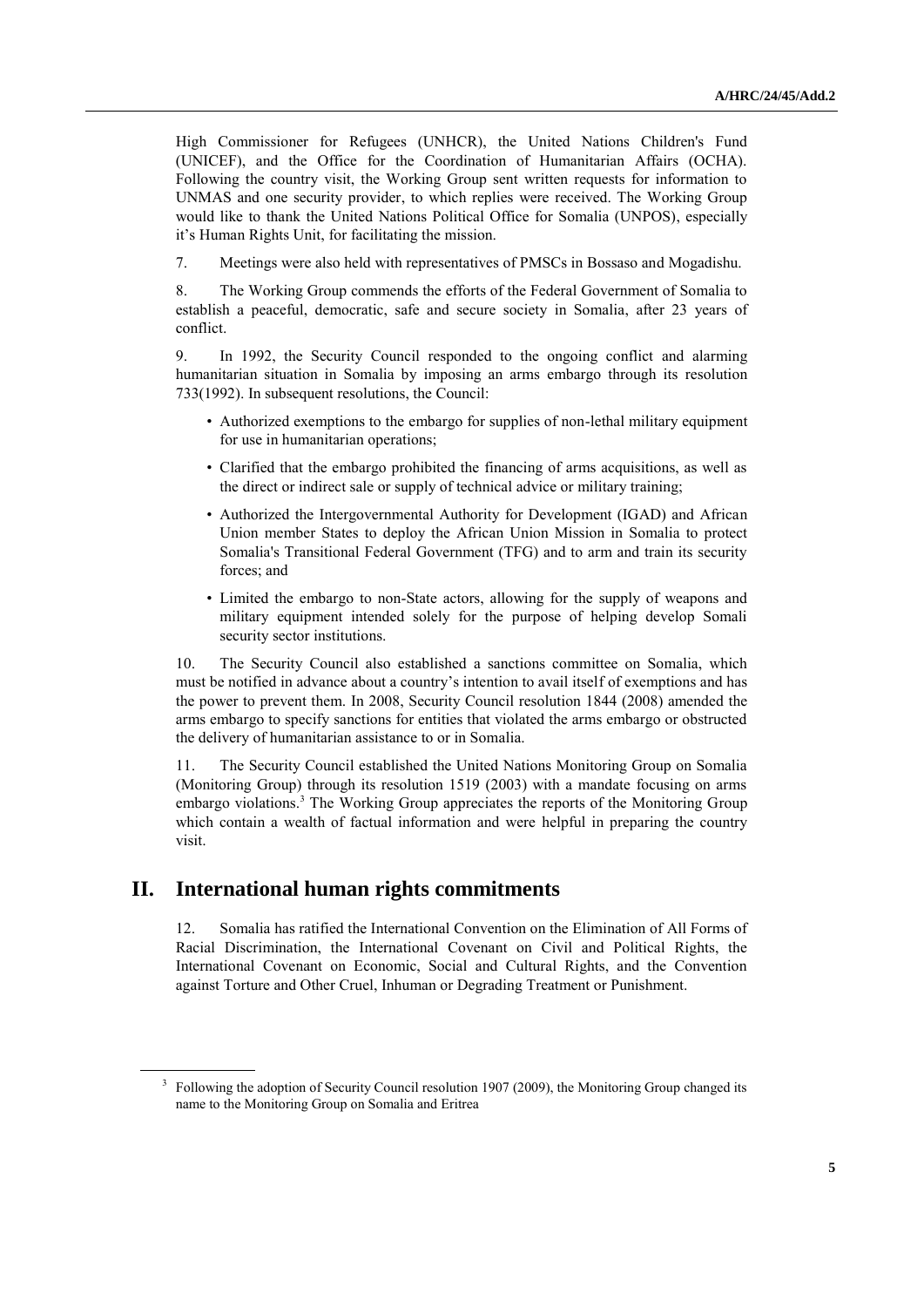High Commissioner for Refugees (UNHCR), the United Nations Children's Fund (UNICEF), and the Office for the Coordination of Humanitarian Affairs (OCHA). Following the country visit, the Working Group sent written requests for information to UNMAS and one security provider, to which replies were received. The Working Group would like to thank the United Nations Political Office for Somalia (UNPOS), especially it's Human Rights Unit, for facilitating the mission.

7. Meetings were also held with representatives of PMSCs in Bossaso and Mogadishu.

8. The Working Group commends the efforts of the Federal Government of Somalia to establish a peaceful, democratic, safe and secure society in Somalia, after 23 years of conflict.

9. In 1992, the Security Council responded to the ongoing conflict and alarming humanitarian situation in Somalia by imposing an arms embargo through its resolution 733(1992). In subsequent resolutions, the Council:

- Authorized exemptions to the embargo for supplies of non-lethal military equipment for use in humanitarian operations;
- Clarified that the embargo prohibited the financing of arms acquisitions, as well as the direct or indirect sale or supply of technical advice or military training;
- Authorized the Intergovernmental Authority for Development (IGAD) and African Union member States to deploy the African Union Mission in Somalia to protect Somalia's Transitional Federal Government (TFG) and to arm and train its security forces; and
- Limited the embargo to non-State actors, allowing for the supply of weapons and military equipment intended solely for the purpose of helping develop Somali security sector institutions.

10. The Security Council also established a sanctions committee on Somalia, which must be notified in advance about a country's intention to avail itself of exemptions and has the power to prevent them. In 2008, Security Council resolution 1844 (2008) amended the arms embargo to specify sanctions for entities that violated the arms embargo or obstructed the delivery of humanitarian assistance to or in Somalia.

11. The Security Council established the United Nations Monitoring Group on Somalia (Monitoring Group) through its resolution 1519 (2003) with a mandate focusing on arms embargo violations.<sup>3</sup> The Working Group appreciates the reports of the Monitoring Group which contain a wealth of factual information and were helpful in preparing the country visit.

## **II. International human rights commitments**

12. Somalia has ratified the International Convention on the Elimination of All Forms of Racial Discrimination, the International Covenant on Civil and Political Rights, the International Covenant on Economic, Social and Cultural Rights, and the Convention against Torture and Other Cruel, Inhuman or Degrading Treatment or Punishment.

<sup>&</sup>lt;sup>3</sup> Following the adoption of Security Council resolution 1907 (2009), the Monitoring Group changed its name to the Monitoring Group on Somalia and Eritrea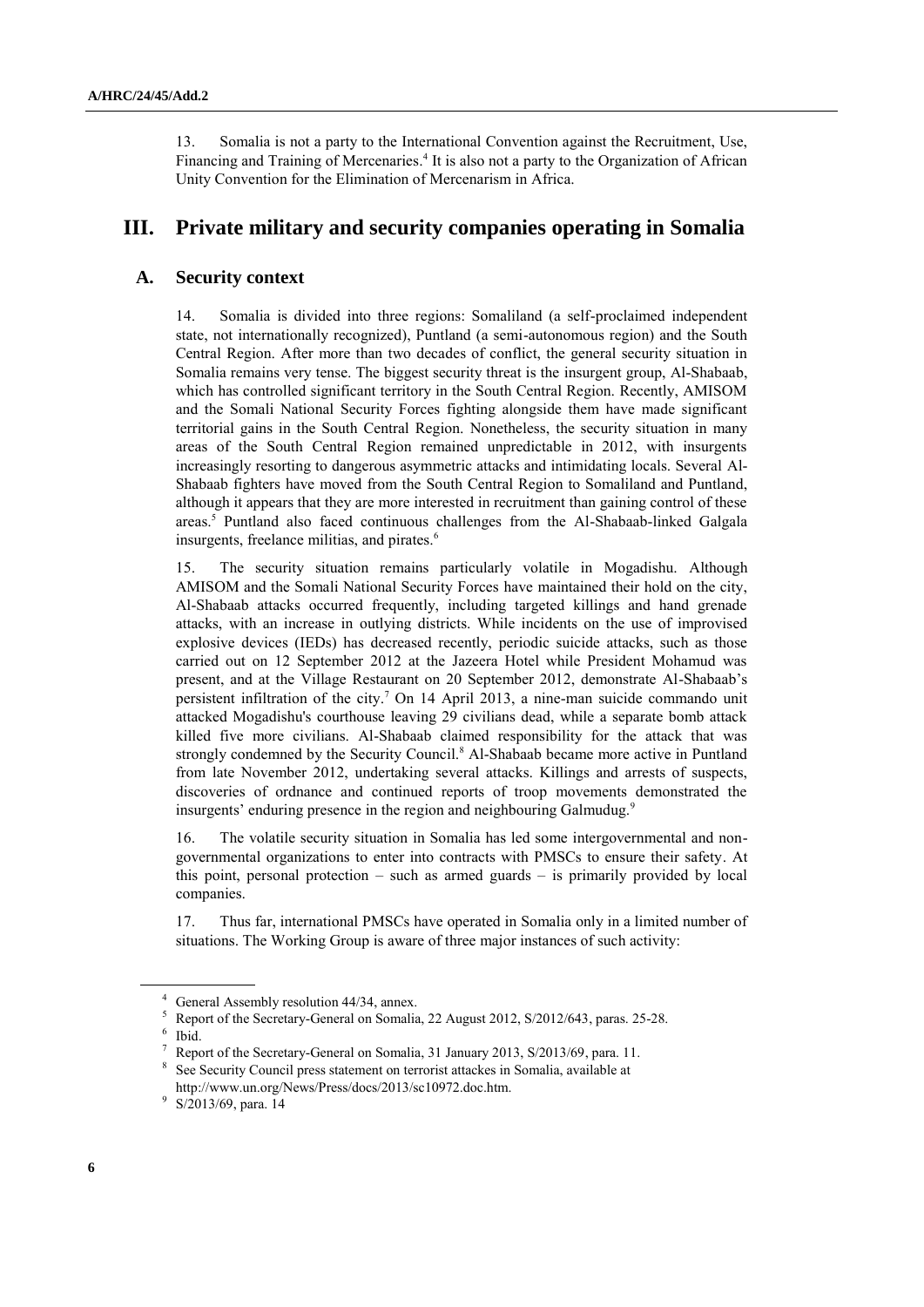13. Somalia is not a party to the International Convention against the Recruitment, Use, Financing and Training of Mercenaries.<sup>4</sup> It is also not a party to the Organization of African Unity Convention for the Elimination of Mercenarism in Africa.

## **III. Private military and security companies operating in Somalia**

### **A. Security context**

14. Somalia is divided into three regions: Somaliland (a self-proclaimed independent state, not internationally recognized), Puntland (a semi-autonomous region) and the South Central Region. After more than two decades of conflict, the general security situation in Somalia remains very tense. The biggest security threat is the insurgent group, Al-Shabaab, which has controlled significant territory in the South Central Region. Recently, AMISOM and the Somali National Security Forces fighting alongside them have made significant territorial gains in the South Central Region. Nonetheless, the security situation in many areas of the South Central Region remained unpredictable in 2012, with insurgents increasingly resorting to dangerous asymmetric attacks and intimidating locals. Several Al-Shabaab fighters have moved from the South Central Region to Somaliland and Puntland, although it appears that they are more interested in recruitment than gaining control of these areas. <sup>5</sup> Puntland also faced continuous challenges from the Al-Shabaab-linked Galgala insurgents, freelance militias, and pirates.<sup>6</sup>

15. The security situation remains particularly volatile in Mogadishu. Although AMISOM and the Somali National Security Forces have maintained their hold on the city, Al-Shabaab attacks occurred frequently, including targeted killings and hand grenade attacks, with an increase in outlying districts. While incidents on the use of improvised explosive devices (IEDs) has decreased recently, periodic suicide attacks, such as those carried out on 12 September 2012 at the Jazeera Hotel while President Mohamud was present, and at the Village Restaurant on 20 September 2012, demonstrate Al-Shabaab's persistent infiltration of the city. <sup>7</sup> On 14 April 2013, a nine-man suicide commando unit attacked Mogadishu's courthouse leaving 29 civilians dead, while a separate bomb attack killed five more civilians. Al-Shabaab claimed responsibility for the attack that was strongly condemned by the Security Council.<sup>8</sup> Al-Shabaab became more active in Puntland from late November 2012, undertaking several attacks. Killings and arrests of suspects, discoveries of ordnance and continued reports of troop movements demonstrated the insurgents' enduring presence in the region and neighbouring Galmudug.<sup>9</sup>

16. The volatile security situation in Somalia has led some intergovernmental and nongovernmental organizations to enter into contracts with PMSCs to ensure their safety. At this point, personal protection – such as armed guards – is primarily provided by local companies.

17. Thus far, international PMSCs have operated in Somalia only in a limited number of situations. The Working Group is aware of three major instances of such activity:

<sup>4</sup> General Assembly resolution 44/34, annex.

<sup>5</sup> Report of the Secretary-General on Somalia, 22 August 2012, S/2012/643, paras. 25-28. 6 Ibid.

<sup>7</sup> Report of the Secretary-General on Somalia, 31 January 2013, S/2013/69, para. 11.

<sup>&</sup>lt;sup>8</sup> See Security Council press statement on terrorist attackes in Somalia, available at http://www.un.org/News/Press/docs/2013/sc10972.doc.htm.

<sup>&</sup>lt;sup>9</sup> S/2013/69, para. 14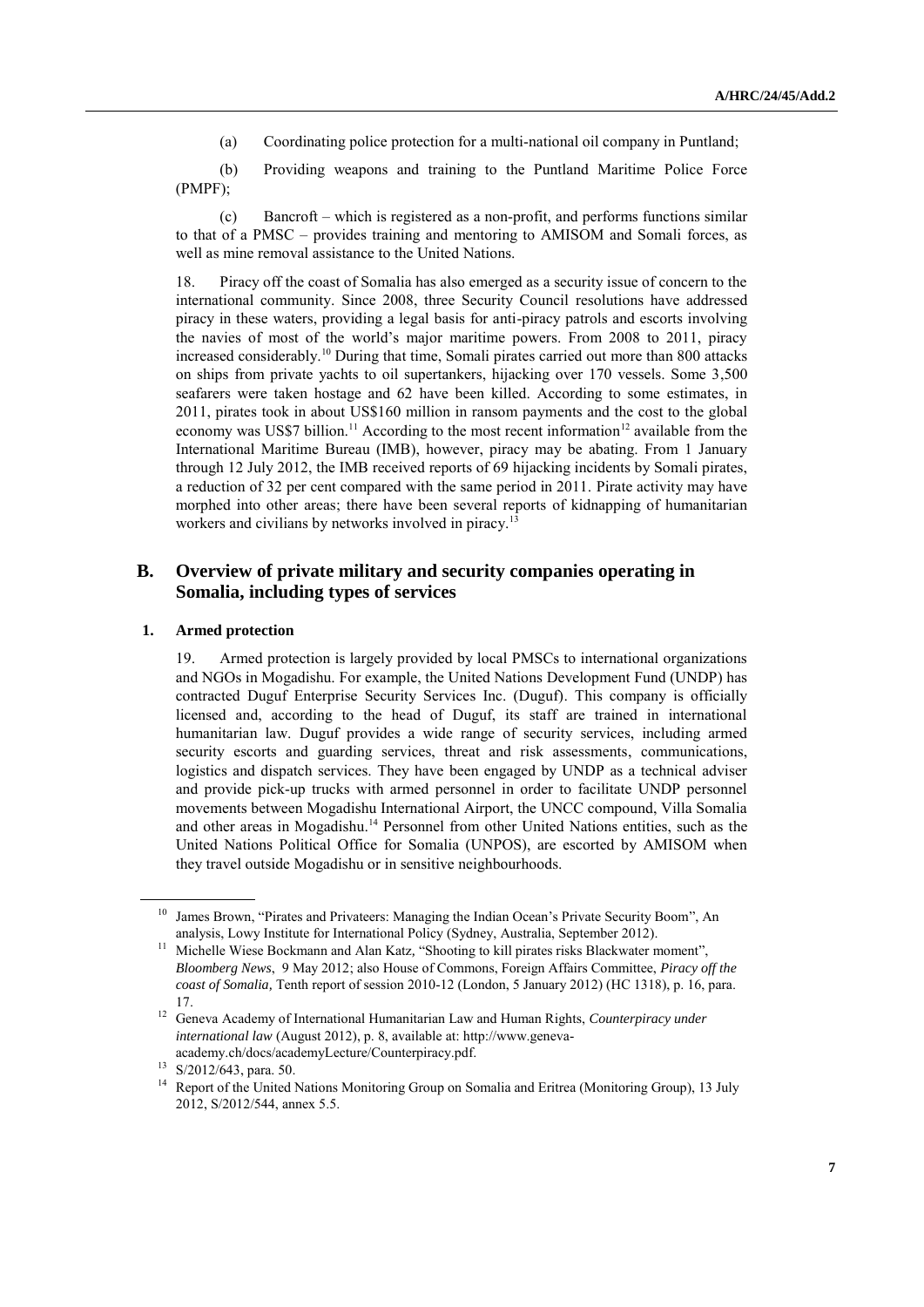(a) Coordinating police protection for a multi-national oil company in Puntland;

(b) Providing weapons and training to the Puntland Maritime Police Force (PMPF);

(c) Bancroft – which is registered as a non-profit, and performs functions similar to that of a PMSC – provides training and mentoring to AMISOM and Somali forces, as well as mine removal assistance to the United Nations.

18. Piracy off the coast of Somalia has also emerged as a security issue of concern to the international community. Since 2008, three Security Council resolutions have addressed piracy in these waters, providing a legal basis for anti-piracy patrols and escorts involving the navies of most of the world's major maritime powers. From 2008 to 2011, piracy increased considerably.<sup>10</sup> During that time, Somali pirates carried out more than 800 attacks on ships from private yachts to oil supertankers, hijacking over 170 vessels. Some 3,500 seafarers were taken hostage and 62 have been killed. According to some estimates, in 2011, pirates took in about US\$160 million in ransom payments and the cost to the global economy was US\$7 billion.<sup>11</sup> According to the most recent information<sup>12</sup> available from the International Maritime Bureau (IMB), however, piracy may be abating. From 1 January through 12 July 2012, the IMB received reports of 69 hijacking incidents by Somali pirates, a reduction of 32 per cent compared with the same period in 2011. Pirate activity may have morphed into other areas; there have been several reports of kidnapping of humanitarian workers and civilians by networks involved in piracy.<sup>13</sup>

## **B. Overview of private military and security companies operating in Somalia, including types of services**

#### **1. Armed protection**

19. Armed protection is largely provided by local PMSCs to international organizations and NGOs in Mogadishu. For example, the United Nations Development Fund (UNDP) has contracted Duguf Enterprise Security Services Inc. (Duguf). This company is officially licensed and, according to the head of Duguf, its staff are trained in international humanitarian law. Duguf provides a wide range of security services, including armed security escorts and guarding services, threat and risk assessments, communications, logistics and dispatch services. They have been engaged by UNDP as a technical adviser and provide pick-up trucks with armed personnel in order to facilitate UNDP personnel movements between Mogadishu International Airport, the UNCC compound, Villa Somalia and other areas in Mogadishu.<sup>14</sup> Personnel from other United Nations entities, such as the United Nations Political Office for Somalia (UNPOS), are escorted by AMISOM when they travel outside Mogadishu or in sensitive neighbourhoods.

<sup>&</sup>lt;sup>10</sup> James Brown, "Pirates and Privateers: Managing the Indian Ocean's Private Security Boom", An analysis, Lowy Institute for International Policy (Sydney, Australia, September 2012).

<sup>&</sup>lt;sup>11</sup> Michelle Wiese Bockmann and Alan Katz, "Shooting to kill pirates risks Blackwater moment", *Bloomberg News*, 9 May 2012; also House of Commons, Foreign Affairs Committee, *Piracy off the coast of Somalia,* Tenth report of session 2010-12 (London, 5 January 2012) (HC 1318), p. 16, para. 17.

<sup>12</sup> Geneva Academy of International Humanitarian Law and Human Rights, *Counterpiracy under international law* (August 2012), p. 8, available at[: http://www.geneva](http://www.geneva-academy.ch/docs/academyLecture/Counterpiracy.pdf)[academy.ch/docs/academyLecture/Counterpiracy.pdf.](http://www.geneva-academy.ch/docs/academyLecture/Counterpiracy.pdf)

<sup>13</sup> S/2012/643, para. 50.

<sup>&</sup>lt;sup>14</sup> Report of the United Nations Monitoring Group on Somalia and Eritrea (Monitoring Group), 13 July 2012, S/2012/544, annex 5.5.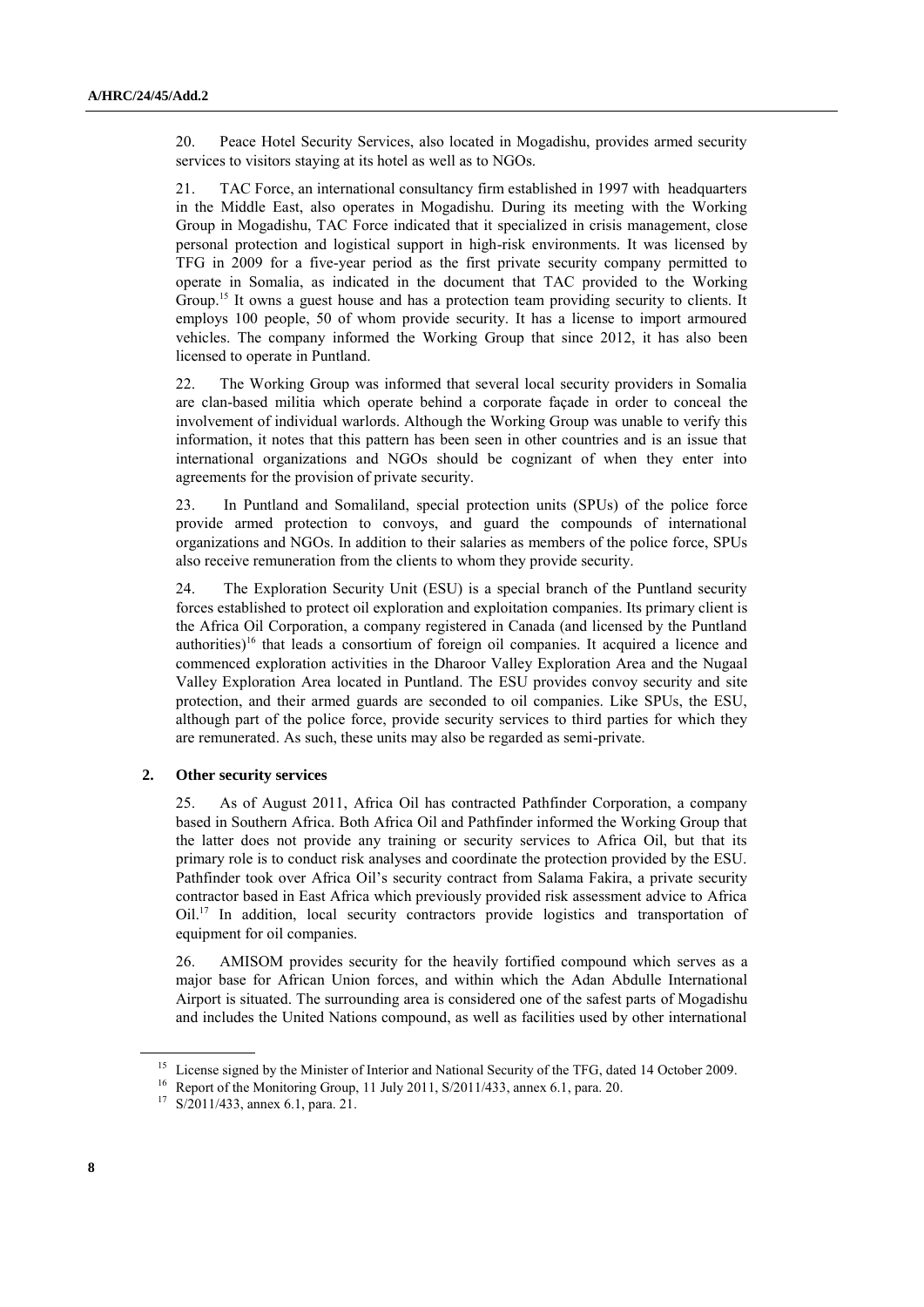20. Peace Hotel Security Services, also located in Mogadishu, provides armed security services to visitors staying at its hotel as well as to NGOs.

21. TAC Force, an international consultancy firm established in 1997 with headquarters in the Middle East, also operates in Mogadishu. During its meeting with the Working Group in Mogadishu, TAC Force indicated that it specialized in crisis management, close personal protection and logistical support in high-risk environments. It was licensed by TFG in 2009 for a five-year period as the first private security company permitted to operate in Somalia, as indicated in the document that TAC provided to the Working Group.<sup>15</sup> It owns a guest house and has a protection team providing security to clients. It employs 100 people, 50 of whom provide security. It has a license to import armoured vehicles. The company informed the Working Group that since 2012, it has also been licensed to operate in Puntland.

22. The Working Group was informed that several local security providers in Somalia are clan-based militia which operate behind a corporate façade in order to conceal the involvement of individual warlords. Although the Working Group was unable to verify this information, it notes that this pattern has been seen in other countries and is an issue that international organizations and NGOs should be cognizant of when they enter into agreements for the provision of private security.

23. In Puntland and Somaliland, special protection units (SPUs) of the police force provide armed protection to convoys, and guard the compounds of international organizations and NGOs. In addition to their salaries as members of the police force, SPUs also receive remuneration from the clients to whom they provide security.

24. The Exploration Security Unit (ESU) is a special branch of the Puntland security forces established to protect oil exploration and exploitation companies. Its primary client is the Africa Oil Corporation, a company registered in Canada (and licensed by the Puntland authorities)<sup>16</sup> that leads a consortium of foreign oil companies. It acquired a licence and commenced exploration activities in the Dharoor Valley Exploration Area and the Nugaal Valley Exploration Area located in Puntland. The ESU provides convoy security and site protection, and their armed guards are seconded to oil companies. Like SPUs, the ESU, although part of the police force, provide security services to third parties for which they are remunerated. As such, these units may also be regarded as semi-private.

### **2. Other security services**

25. As of August 2011, Africa Oil has contracted Pathfinder Corporation, a company based in Southern Africa. Both Africa Oil and Pathfinder informed the Working Group that the latter does not provide any training or security services to Africa Oil, but that its primary role is to conduct risk analyses and coordinate the protection provided by the ESU. Pathfinder took over Africa Oil's security contract from Salama Fakira, a private security contractor based in East Africa which previously provided risk assessment advice to Africa Oil.<sup>17</sup> In addition, local security contractors provide logistics and transportation of equipment for oil companies.

26. AMISOM provides security for the heavily fortified compound which serves as a major base for African Union forces, and within which the Adan Abdulle International Airport is situated. The surrounding area is considered one of the safest parts of Mogadishu and includes the United Nations compound, as well as facilities used by other international

<sup>&</sup>lt;sup>15</sup> License signed by the Minister of Interior and National Security of the TFG, dated 14 October 2009.

<sup>16</sup> Report of the Monitoring Group, 11 July 2011, S/2011/433, annex 6.1, para. 20.

<sup>17</sup> S/2011/433, annex 6.1, para. 21.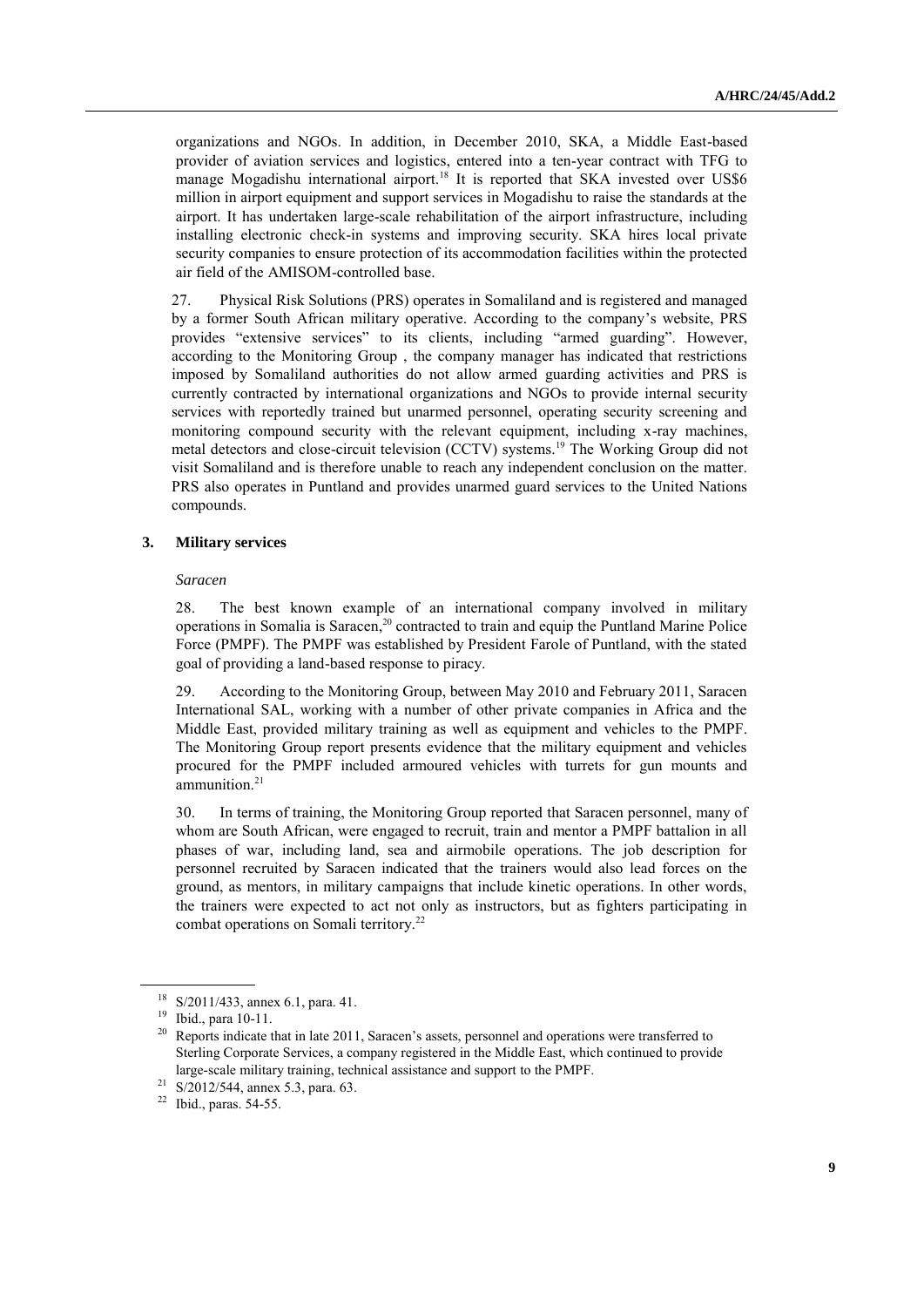organizations and NGOs. In addition, in December 2010, SKA, a Middle East-based provider of aviation services and logistics, entered into a ten-year contract with TFG to manage Mogadishu international airport.<sup>18</sup> It is reported that SKA invested over US\$6 million in airport equipment and support services in Mogadishu to raise the standards at the airport. It has undertaken large-scale rehabilitation of the airport infrastructure, including installing electronic check-in systems and improving security. SKA hires local private security companies to ensure protection of its accommodation facilities within the protected air field of the AMISOM-controlled base.

27. Physical Risk Solutions (PRS) operates in Somaliland and is registered and managed by a former South African military operative. According to the company's website, PRS provides "extensive services" to its clients, including "armed guarding". However, according to the Monitoring Group , the company manager has indicated that restrictions imposed by Somaliland authorities do not allow armed guarding activities and PRS is currently contracted by international organizations and NGOs to provide internal security services with reportedly trained but unarmed personnel, operating security screening and monitoring compound security with the relevant equipment, including x-ray machines, metal detectors and close-circuit television (CCTV) systems.<sup>19</sup> The Working Group did not visit Somaliland and is therefore unable to reach any independent conclusion on the matter. PRS also operates in Puntland and provides unarmed guard services to the United Nations compounds.

#### **3. Military services**

#### *Saracen*

28. The best known example of an international company involved in military operations in Somalia is Saracen, <sup>20</sup> contracted to train and equip the Puntland Marine Police Force (PMPF). The PMPF was established by President Farole of Puntland, with the stated goal of providing a land-based response to piracy.

29. According to the Monitoring Group, between May 2010 and February 2011, Saracen International SAL, working with a number of other private companies in Africa and the Middle East, provided military training as well as equipment and vehicles to the PMPF. The Monitoring Group report presents evidence that the military equipment and vehicles procured for the PMPF included armoured vehicles with turrets for gun mounts and ammunition.<sup>21</sup>

30. In terms of training, the Monitoring Group reported that Saracen personnel, many of whom are South African, were engaged to recruit, train and mentor a PMPF battalion in all phases of war, including land, sea and airmobile operations. The job description for personnel recruited by Saracen indicated that the trainers would also lead forces on the ground, as mentors, in military campaigns that include kinetic operations. In other words, the trainers were expected to act not only as instructors, but as fighters participating in combat operations on Somali territory.<sup>22</sup>

<sup>18</sup> S/2011/433, annex 6.1, para. 41.

<sup>19</sup> Ibid., para 10-11.

<sup>&</sup>lt;sup>20</sup> Reports indicate that in late 2011, Saracen's assets, personnel and operations were transferred to Sterling Corporate Services, a company registered in the Middle East, which continued to provide large-scale military training, technical assistance and support to the PMPF.

<sup>&</sup>lt;sup>21</sup> S/2012/544, annex 5.3, para. 63.

<sup>22</sup> Ibid., paras. 54-55.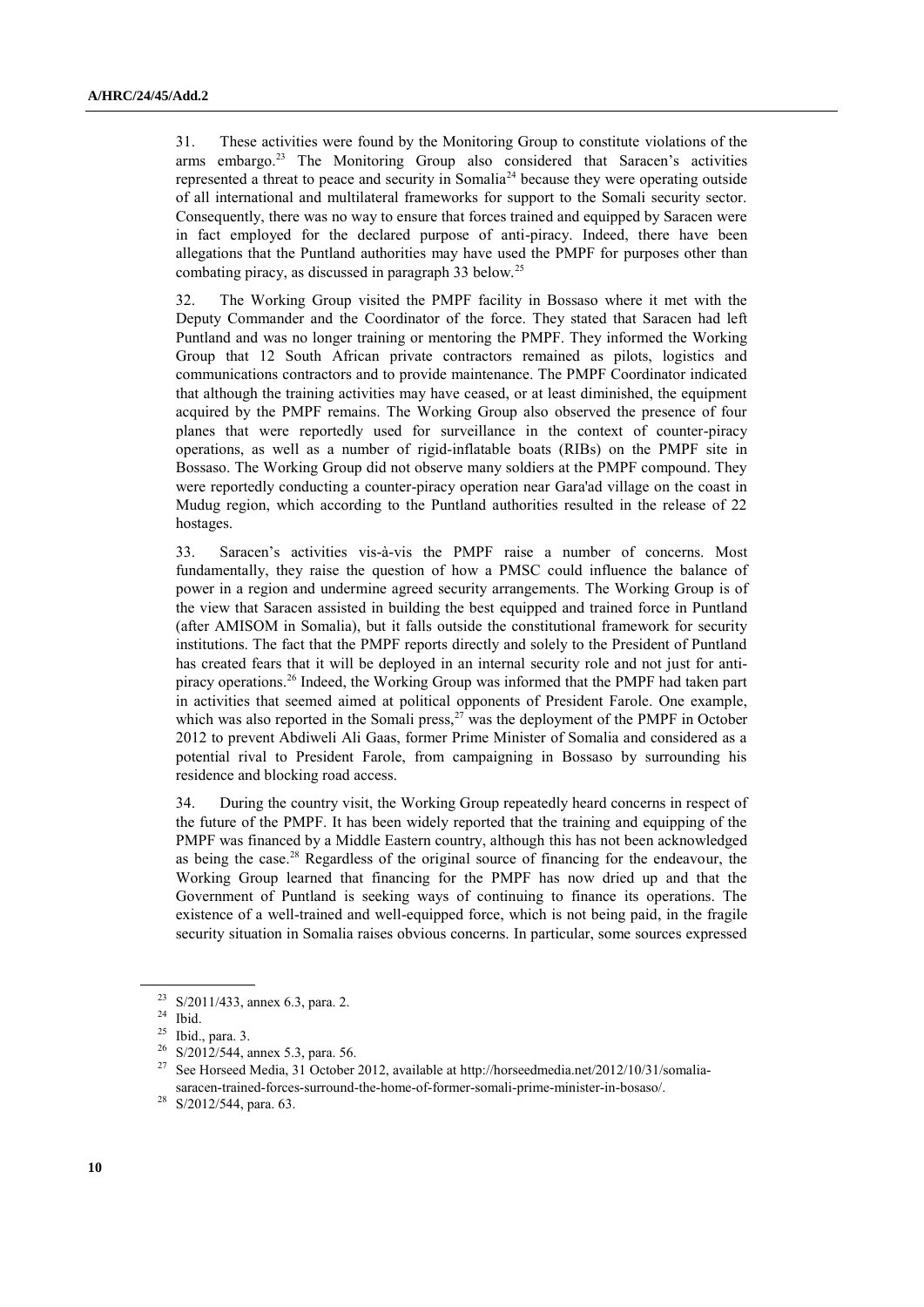31. These activities were found by the Monitoring Group to constitute violations of the arms embargo.<sup>23</sup> The Monitoring Group also considered that Saracen's activities represented a threat to peace and security in Somalia<sup>24</sup> because they were operating outside of all international and multilateral frameworks for support to the Somali security sector. Consequently, there was no way to ensure that forces trained and equipped by Saracen were in fact employed for the declared purpose of anti-piracy. Indeed, there have been allegations that the Puntland authorities may have used the PMPF for purposes other than combating piracy, as discussed in paragraph 33 below.<sup>25</sup>

32. The Working Group visited the PMPF facility in Bossaso where it met with the Deputy Commander and the Coordinator of the force. They stated that Saracen had left Puntland and was no longer training or mentoring the PMPF. They informed the Working Group that 12 South African private contractors remained as pilots, logistics and communications contractors and to provide maintenance. The PMPF Coordinator indicated that although the training activities may have ceased, or at least diminished, the equipment acquired by the PMPF remains. The Working Group also observed the presence of four planes that were reportedly used for surveillance in the context of counter-piracy operations, as well as a number of rigid-inflatable boats (RIBs) on the PMPF site in Bossaso. The Working Group did not observe many soldiers at the PMPF compound. They were reportedly conducting a counter-piracy operation near Gara'ad village on the coast in Mudug region, which according to the Puntland authorities resulted in the release of 22 hostages.

33. Saracen's activities vis-à-vis the PMPF raise a number of concerns. Most fundamentally, they raise the question of how a PMSC could influence the balance of power in a region and undermine agreed security arrangements. The Working Group is of the view that Saracen assisted in building the best equipped and trained force in Puntland (after AMISOM in Somalia), but it falls outside the constitutional framework for security institutions. The fact that the PMPF reports directly and solely to the President of Puntland has created fears that it will be deployed in an internal security role and not just for antipiracy operations.<sup>26</sup> Indeed, the Working Group was informed that the PMPF had taken part in activities that seemed aimed at political opponents of President Farole. One example, which was also reported in the Somali press, $27$  was the deployment of the PMPF in October 2012 to prevent Abdiweli Ali Gaas, former Prime Minister of Somalia and considered as a potential rival to President Farole, from campaigning in Bossaso by surrounding his residence and blocking road access.

34. During the country visit, the Working Group repeatedly heard concerns in respect of the future of the PMPF. It has been widely reported that the training and equipping of the PMPF was financed by a Middle Eastern country, although this has not been acknowledged as being the case.<sup>28</sup> Regardless of the original source of financing for the endeavour, the Working Group learned that financing for the PMPF has now dried up and that the Government of Puntland is seeking ways of continuing to finance its operations. The existence of a well-trained and well-equipped force, which is not being paid, in the fragile security situation in Somalia raises obvious concerns. In particular, some sources expressed

<sup>26</sup> S/2012/544, annex 5.3, para. 56.

<sup>23</sup> S/2011/433, annex 6.3, para. 2.

 $24$  Ibid.

<sup>25</sup> Ibid., para. 3.

<sup>27</sup> See Horseed Media, 31 October 2012, available at http://horseedmedia.net/2012/10/31/somaliasaracen-trained-forces-surround-the-home-of-former-somali-prime-minister-in-bosaso/.

<sup>28</sup> S/2012/544, para. 63.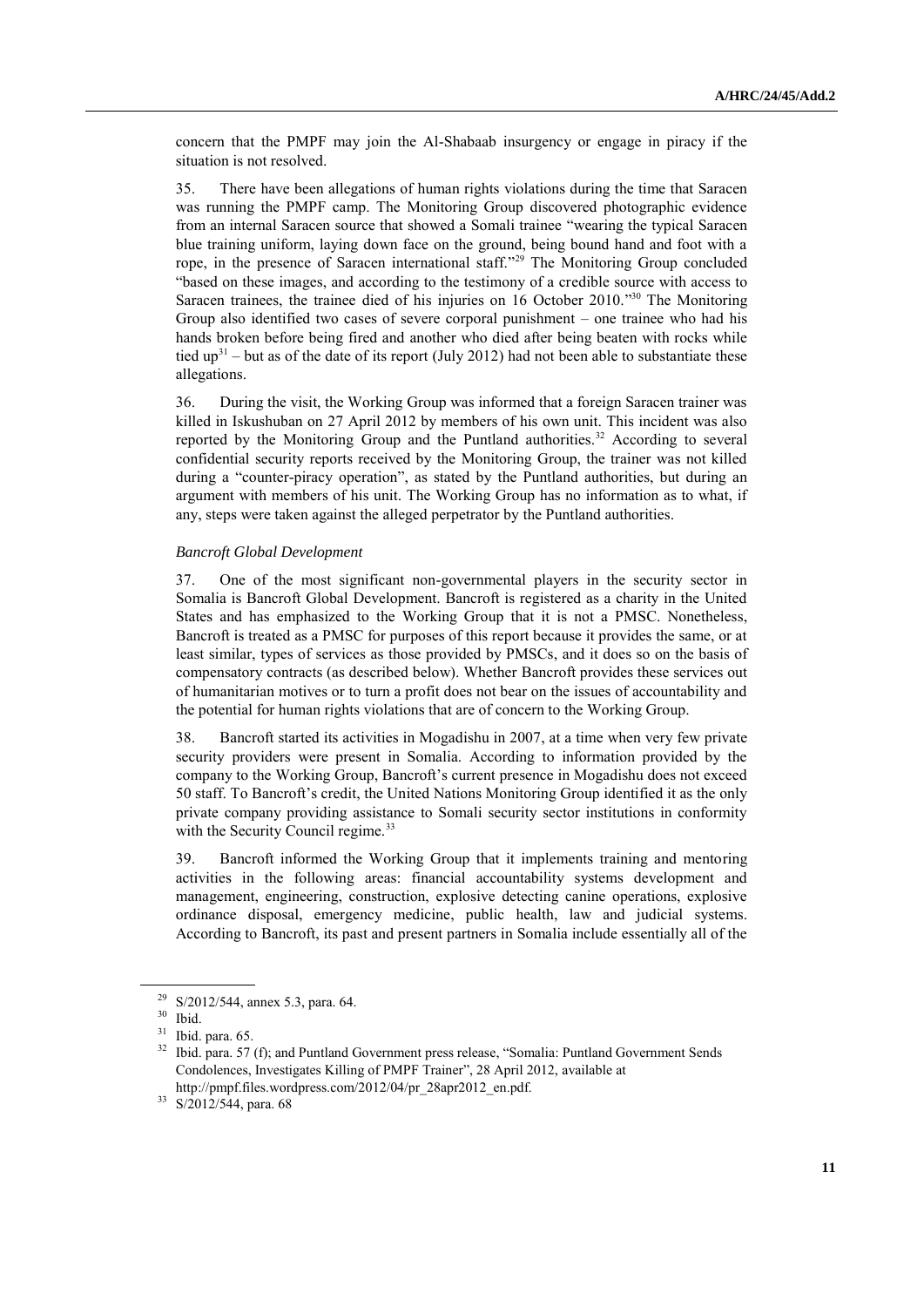concern that the PMPF may join the Al-Shabaab insurgency or engage in piracy if the situation is not resolved.

35. There have been allegations of human rights violations during the time that Saracen was running the PMPF camp. The Monitoring Group discovered photographic evidence from an internal Saracen source that showed a Somali trainee "wearing the typical Saracen blue training uniform, laying down face on the ground, being bound hand and foot with a rope, in the presence of Saracen international staff." <sup>29</sup> The Monitoring Group concluded "based on these images, and according to the testimony of a credible source with access to Saracen trainees, the trainee died of his injuries on 16 October 2010."<sup>30</sup> The Monitoring Group also identified two cases of severe corporal punishment – one trainee who had his hands broken before being fired and another who died after being beaten with rocks while tied  $up<sup>31</sup>$  – but as of the date of its report (July 2012) had not been able to substantiate these allegations.

36. During the visit, the Working Group was informed that a foreign Saracen trainer was killed in Iskushuban on 27 April 2012 by members of his own unit. This incident was also reported by the Monitoring Group and the Puntland authorities.<sup>32</sup> According to several confidential security reports received by the Monitoring Group, the trainer was not killed during a "counter-piracy operation", as stated by the Puntland authorities, but during an argument with members of his unit. The Working Group has no information as to what, if any, steps were taken against the alleged perpetrator by the Puntland authorities.

#### *Bancroft Global Development*

37. One of the most significant non-governmental players in the security sector in Somalia is Bancroft Global Development. Bancroft is registered as a charity in the United States and has emphasized to the Working Group that it is not a PMSC. Nonetheless, Bancroft is treated as a PMSC for purposes of this report because it provides the same, or at least similar, types of services as those provided by PMSCs, and it does so on the basis of compensatory contracts (as described below). Whether Bancroft provides these services out of humanitarian motives or to turn a profit does not bear on the issues of accountability and the potential for human rights violations that are of concern to the Working Group.

38. Bancroft started its activities in Mogadishu in 2007, at a time when very few private security providers were present in Somalia. According to information provided by the company to the Working Group, Bancroft's current presence in Mogadishu does not exceed 50 staff. To Bancroft's credit, the United Nations Monitoring Group identified it as the only private company providing assistance to Somali security sector institutions in conformity with the Security Council regime.<sup>33</sup>

39. Bancroft informed the Working Group that it implements training and mentoring activities in the following areas: financial accountability systems development and management, engineering, construction, explosive detecting canine operations, explosive ordinance disposal, emergency medicine, public health, law and judicial systems. According to Bancroft, its past and present partners in Somalia include essentially all of the

<sup>29</sup> S/2012/544, annex 5.3, para. 64.

<sup>30</sup> Ibid.

 $31$  Ibid. para. 65.

<sup>&</sup>lt;sup>32</sup> Ibid. para. 57 (f); and Puntland Government press release, "Somalia: Puntland Government Sends Condolences, Investigates Killing of PMPF Trainer", 28 April 2012, available at http://pmpf.files.wordpress.com/2012/04/pr\_28apr2012\_en.pdf.

<sup>33</sup> S/2012/544, para. 68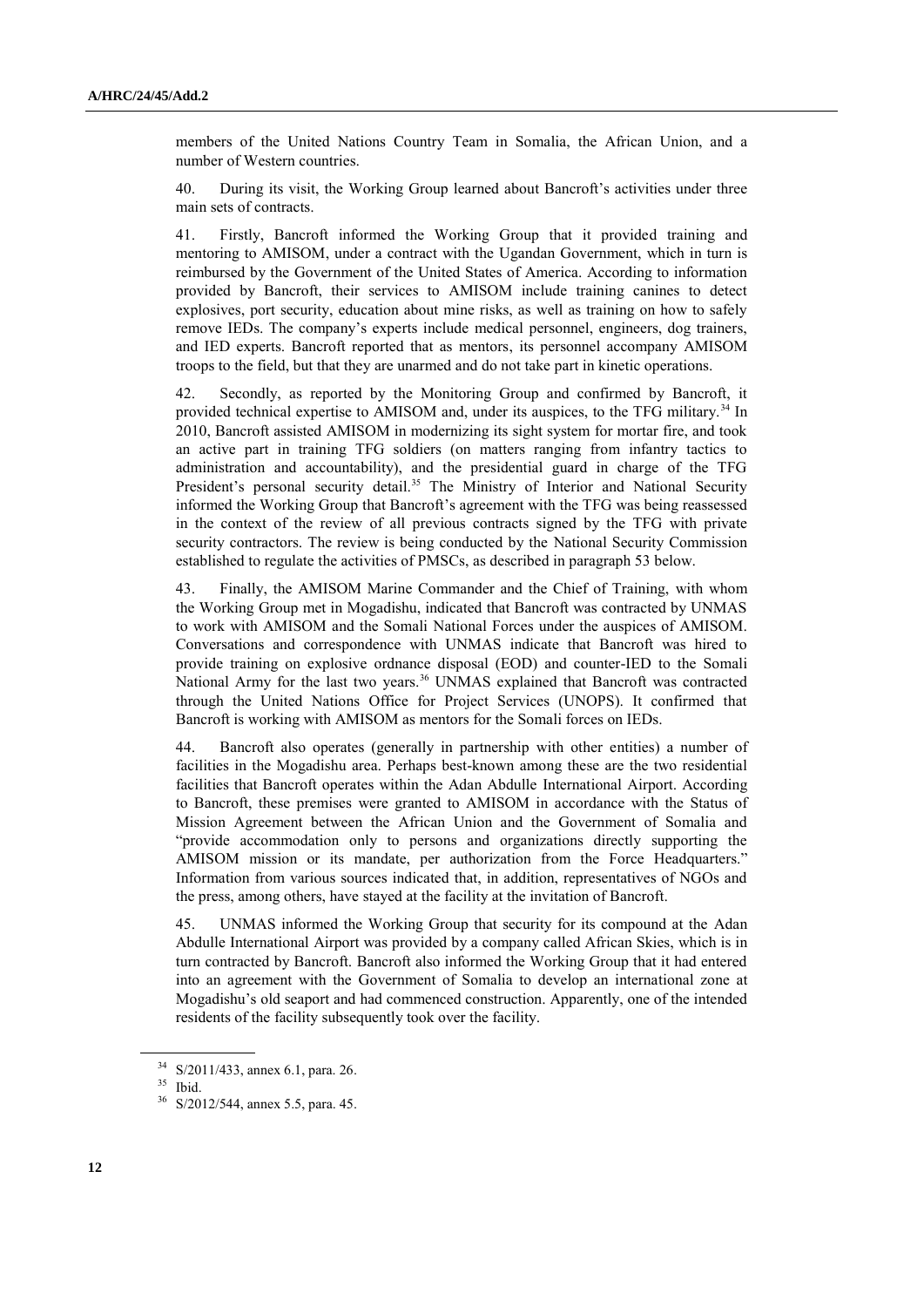members of the United Nations Country Team in Somalia, the African Union, and a number of Western countries.

40. During its visit, the Working Group learned about Bancroft's activities under three main sets of contracts.

41. Firstly, Bancroft informed the Working Group that it provided training and mentoring to AMISOM, under a contract with the Ugandan Government, which in turn is reimbursed by the Government of the United States of America. According to information provided by Bancroft, their services to AMISOM include training canines to detect explosives, port security, education about mine risks, as well as training on how to safely remove IEDs. The company's experts include medical personnel, engineers, dog trainers, and IED experts. Bancroft reported that as mentors, its personnel accompany AMISOM troops to the field, but that they are unarmed and do not take part in kinetic operations.

42. Secondly, as reported by the Monitoring Group and confirmed by Bancroft, it provided technical expertise to AMISOM and, under its auspices, to the TFG military.<sup>34</sup> In 2010, Bancroft assisted AMISOM in modernizing its sight system for mortar fire, and took an active part in training TFG soldiers (on matters ranging from infantry tactics to administration and accountability), and the presidential guard in charge of the TFG President's personal security detail.<sup>35</sup> The Ministry of Interior and National Security informed the Working Group that Bancroft's agreement with the TFG was being reassessed in the context of the review of all previous contracts signed by the TFG with private security contractors. The review is being conducted by the National Security Commission established to regulate the activities of PMSCs, as described in paragraph 53 below.

43. Finally, the AMISOM Marine Commander and the Chief of Training, with whom the Working Group met in Mogadishu, indicated that Bancroft was contracted by UNMAS to work with AMISOM and the Somali National Forces under the auspices of AMISOM. Conversations and correspondence with UNMAS indicate that Bancroft was hired to provide training on explosive ordnance disposal (EOD) and counter-IED to the Somali National Army for the last two years.<sup>36</sup> UNMAS explained that Bancroft was contracted through the United Nations Office for Project Services (UNOPS). It confirmed that Bancroft is working with AMISOM as mentors for the Somali forces on IEDs.

44. Bancroft also operates (generally in partnership with other entities) a number of facilities in the Mogadishu area. Perhaps best-known among these are the two residential facilities that Bancroft operates within the Adan Abdulle International Airport. According to Bancroft, these premises were granted to AMISOM in accordance with the Status of Mission Agreement between the African Union and the Government of Somalia and "provide accommodation only to persons and organizations directly supporting the AMISOM mission or its mandate, per authorization from the Force Headquarters." Information from various sources indicated that, in addition, representatives of NGOs and the press, among others, have stayed at the facility at the invitation of Bancroft.

45. UNMAS informed the Working Group that security for its compound at the Adan Abdulle International Airport was provided by a company called African Skies, which is in turn contracted by Bancroft. Bancroft also informed the Working Group that it had entered into an agreement with the Government of Somalia to develop an international zone at Mogadishu's old seaport and had commenced construction. Apparently, one of the intended residents of the facility subsequently took over the facility.

<sup>34</sup> S/2011/433, annex 6.1, para. 26.

<sup>35</sup> Ibid.

<sup>36</sup> S/2012/544, annex 5.5, para. 45.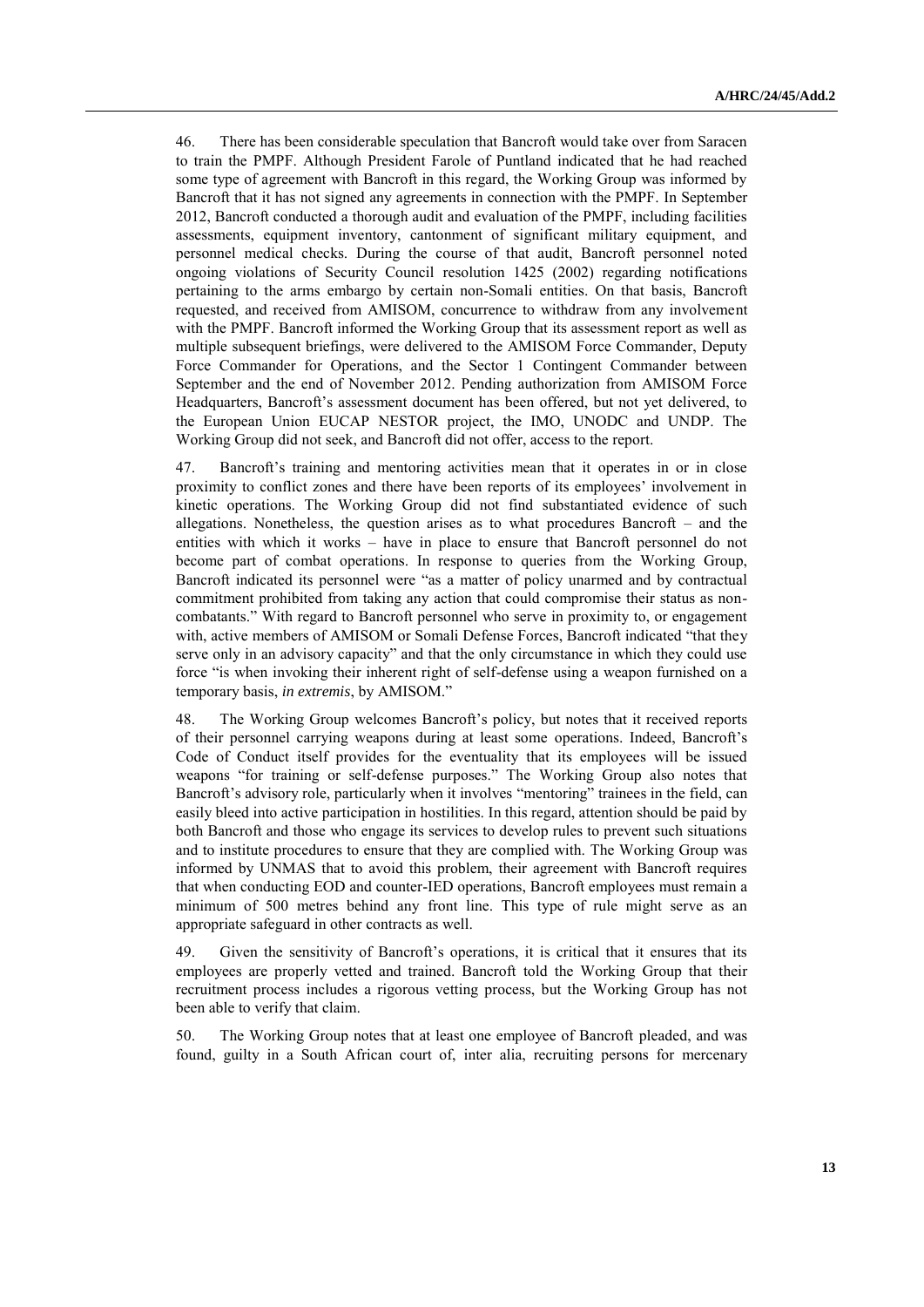46. There has been considerable speculation that Bancroft would take over from Saracen to train the PMPF. Although President Farole of Puntland indicated that he had reached some type of agreement with Bancroft in this regard, the Working Group was informed by Bancroft that it has not signed any agreements in connection with the PMPF. In September 2012, Bancroft conducted a thorough audit and evaluation of the PMPF, including facilities assessments, equipment inventory, cantonment of significant military equipment, and personnel medical checks. During the course of that audit, Bancroft personnel noted ongoing violations of Security Council resolution 1425 (2002) regarding notifications pertaining to the arms embargo by certain non-Somali entities. On that basis, Bancroft requested, and received from AMISOM, concurrence to withdraw from any involvement with the PMPF. Bancroft informed the Working Group that its assessment report as well as multiple subsequent briefings, were delivered to the AMISOM Force Commander, Deputy Force Commander for Operations, and the Sector 1 Contingent Commander between September and the end of November 2012. Pending authorization from AMISOM Force Headquarters, Bancroft's assessment document has been offered, but not yet delivered, to the European Union EUCAP NESTOR project, the IMO, UNODC and UNDP. The Working Group did not seek, and Bancroft did not offer, access to the report.

47. Bancroft's training and mentoring activities mean that it operates in or in close proximity to conflict zones and there have been reports of its employees' involvement in kinetic operations. The Working Group did not find substantiated evidence of such allegations. Nonetheless, the question arises as to what procedures Bancroft  $-$  and the entities with which it works – have in place to ensure that Bancroft personnel do not become part of combat operations. In response to queries from the Working Group, Bancroft indicated its personnel were "as a matter of policy unarmed and by contractual commitment prohibited from taking any action that could compromise their status as noncombatants." With regard to Bancroft personnel who serve in proximity to, or engagement with, active members of AMISOM or Somali Defense Forces, Bancroft indicated "that they serve only in an advisory capacity" and that the only circumstance in which they could use force "is when invoking their inherent right of self-defense using a weapon furnished on a temporary basis, *in extremis*, by AMISOM."

48. The Working Group welcomes Bancroft's policy, but notes that it received reports of their personnel carrying weapons during at least some operations. Indeed, Bancroft's Code of Conduct itself provides for the eventuality that its employees will be issued weapons "for training or self-defense purposes." The Working Group also notes that Bancroft's advisory role, particularly when it involves "mentoring" trainees in the field, can easily bleed into active participation in hostilities. In this regard, attention should be paid by both Bancroft and those who engage its services to develop rules to prevent such situations and to institute procedures to ensure that they are complied with. The Working Group was informed by UNMAS that to avoid this problem, their agreement with Bancroft requires that when conducting EOD and counter-IED operations, Bancroft employees must remain a minimum of 500 metres behind any front line. This type of rule might serve as an appropriate safeguard in other contracts as well.

49. Given the sensitivity of Bancroft's operations, it is critical that it ensures that its employees are properly vetted and trained. Bancroft told the Working Group that their recruitment process includes a rigorous vetting process, but the Working Group has not been able to verify that claim.

50. The Working Group notes that at least one employee of Bancroft pleaded, and was found, guilty in a South African court of, inter alia, recruiting persons for mercenary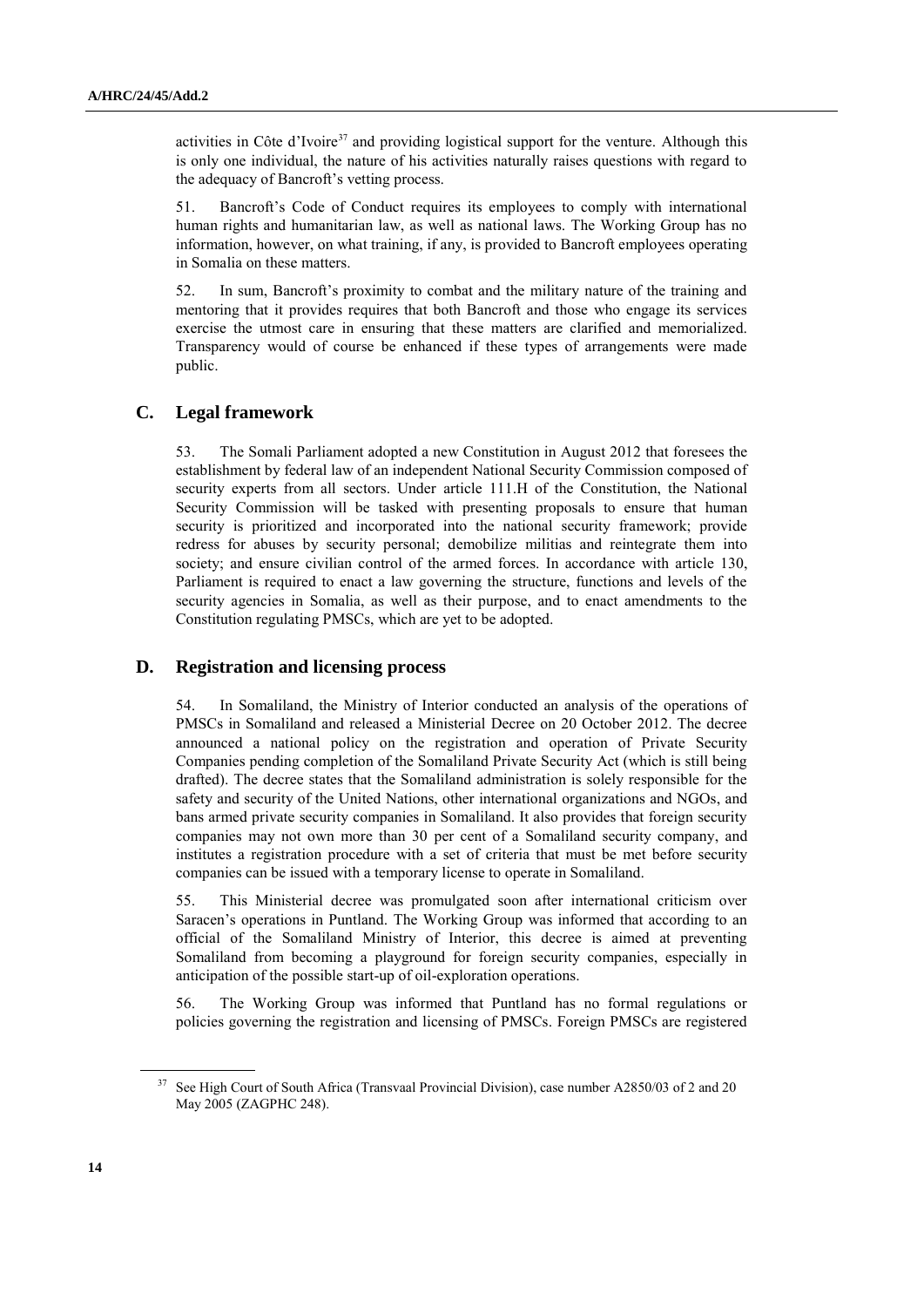activities in Côte d'Ivoire $3^7$  and providing logistical support for the venture. Although this is only one individual, the nature of his activities naturally raises questions with regard to the adequacy of Bancroft's vetting process.

51. Bancroft's Code of Conduct requires its employees to comply with international human rights and humanitarian law, as well as national laws. The Working Group has no information, however, on what training, if any, is provided to Bancroft employees operating in Somalia on these matters.

52. In sum, Bancroft's proximity to combat and the military nature of the training and mentoring that it provides requires that both Bancroft and those who engage its services exercise the utmost care in ensuring that these matters are clarified and memorialized. Transparency would of course be enhanced if these types of arrangements were made public.

## **C. Legal framework**

53. The Somali Parliament adopted a new Constitution in August 2012 that foresees the establishment by federal law of an independent National Security Commission composed of security experts from all sectors. Under article 111.H of the Constitution, the National Security Commission will be tasked with presenting proposals to ensure that human security is prioritized and incorporated into the national security framework; provide redress for abuses by security personal; demobilize militias and reintegrate them into society; and ensure civilian control of the armed forces. In accordance with article 130, Parliament is required to enact a law governing the structure, functions and levels of the security agencies in Somalia, as well as their purpose, and to enact amendments to the Constitution regulating PMSCs, which are yet to be adopted.

## **D. Registration and licensing process**

54. In Somaliland, the Ministry of Interior conducted an analysis of the operations of PMSCs in Somaliland and released a Ministerial Decree on 20 October 2012. The decree announced a national policy on the registration and operation of Private Security Companies pending completion of the Somaliland Private Security Act (which is still being drafted). The decree states that the Somaliland administration is solely responsible for the safety and security of the United Nations, other international organizations and NGOs, and bans armed private security companies in Somaliland. It also provides that foreign security companies may not own more than 30 per cent of a Somaliland security company, and institutes a registration procedure with a set of criteria that must be met before security companies can be issued with a temporary license to operate in Somaliland.

55. This Ministerial decree was promulgated soon after international criticism over Saracen's operations in Puntland. The Working Group was informed that according to an official of the Somaliland Ministry of Interior, this decree is aimed at preventing Somaliland from becoming a playground for foreign security companies, especially in anticipation of the possible start-up of oil-exploration operations.

56. The Working Group was informed that Puntland has no formal regulations or policies governing the registration and licensing of PMSCs. Foreign PMSCs are registered

<sup>&</sup>lt;sup>37</sup> See High Court of South Africa (Transvaal Provincial Division), case number A2850/03 of 2 and 20 May 2005 (ZAGPHC 248).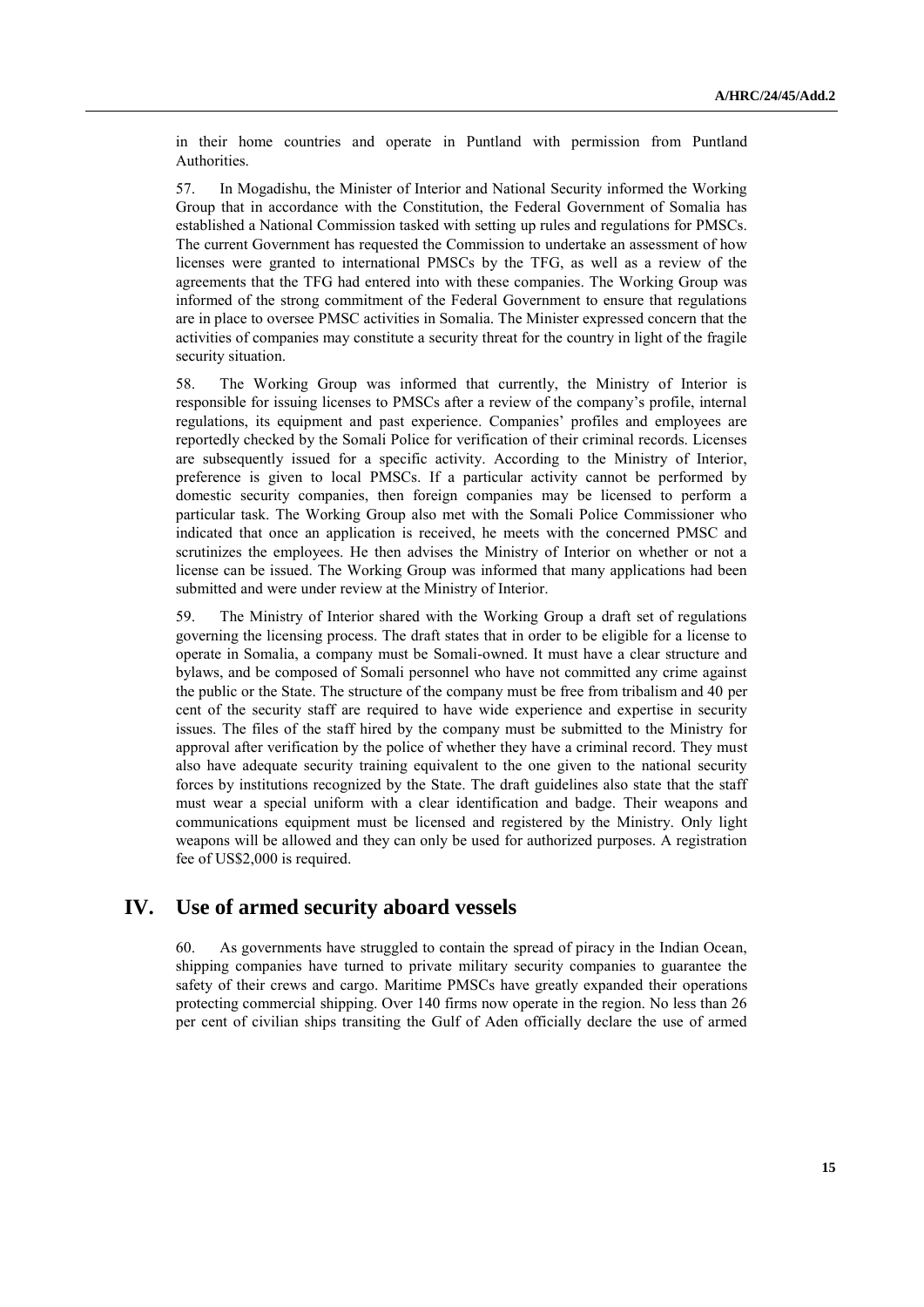in their home countries and operate in Puntland with permission from Puntland Authorities.

57. In Mogadishu, the Minister of Interior and National Security informed the Working Group that in accordance with the Constitution, the Federal Government of Somalia has established a National Commission tasked with setting up rules and regulations for PMSCs. The current Government has requested the Commission to undertake an assessment of how licenses were granted to international PMSCs by the TFG, as well as a review of the agreements that the TFG had entered into with these companies. The Working Group was informed of the strong commitment of the Federal Government to ensure that regulations are in place to oversee PMSC activities in Somalia. The Minister expressed concern that the activities of companies may constitute a security threat for the country in light of the fragile security situation.

58. The Working Group was informed that currently, the Ministry of Interior is responsible for issuing licenses to PMSCs after a review of the company's profile, internal regulations, its equipment and past experience. Companies' profiles and employees are reportedly checked by the Somali Police for verification of their criminal records. Licenses are subsequently issued for a specific activity. According to the Ministry of Interior, preference is given to local PMSCs. If a particular activity cannot be performed by domestic security companies, then foreign companies may be licensed to perform a particular task. The Working Group also met with the Somali Police Commissioner who indicated that once an application is received, he meets with the concerned PMSC and scrutinizes the employees. He then advises the Ministry of Interior on whether or not a license can be issued. The Working Group was informed that many applications had been submitted and were under review at the Ministry of Interior.

59. The Ministry of Interior shared with the Working Group a draft set of regulations governing the licensing process. The draft states that in order to be eligible for a license to operate in Somalia, a company must be Somali-owned. It must have a clear structure and bylaws, and be composed of Somali personnel who have not committed any crime against the public or the State. The structure of the company must be free from tribalism and 40 per cent of the security staff are required to have wide experience and expertise in security issues. The files of the staff hired by the company must be submitted to the Ministry for approval after verification by the police of whether they have a criminal record. They must also have adequate security training equivalent to the one given to the national security forces by institutions recognized by the State. The draft guidelines also state that the staff must wear a special uniform with a clear identification and badge. Their weapons and communications equipment must be licensed and registered by the Ministry. Only light weapons will be allowed and they can only be used for authorized purposes. A registration fee of US\$2,000 is required.

# **IV. Use of armed security aboard vessels**

60. As governments have struggled to contain the spread of piracy in the Indian Ocean, shipping companies have turned to private military security companies to guarantee the safety of their crews and cargo. Maritime PMSCs have greatly expanded their operations protecting commercial shipping. Over 140 firms now operate in the region. No less than 26 per cent of civilian ships transiting the Gulf of Aden officially declare the use of armed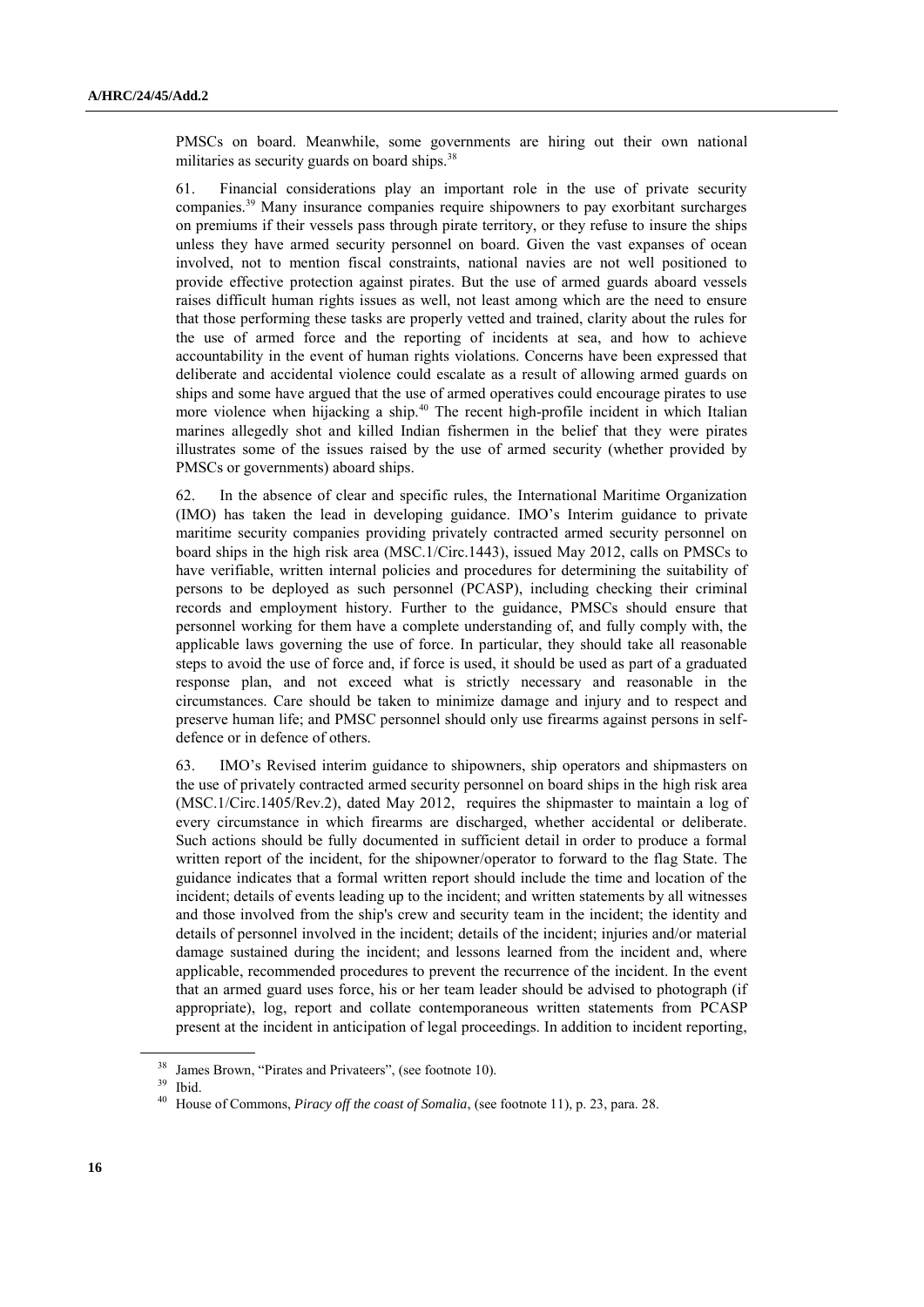PMSCs on board. Meanwhile, some governments are hiring out their own national militaries as security guards on board ships.<sup>38</sup>

61. Financial considerations play an important role in the use of private security companies.<sup>39</sup> Many insurance companies require shipowners to pay exorbitant surcharges on premiums if their vessels pass through pirate territory, or they refuse to insure the ships unless they have armed security personnel on board. Given the vast expanses of ocean involved, not to mention fiscal constraints, national navies are not well positioned to provide effective protection against pirates. But the use of armed guards aboard vessels raises difficult human rights issues as well, not least among which are the need to ensure that those performing these tasks are properly vetted and trained, clarity about the rules for the use of armed force and the reporting of incidents at sea, and how to achieve accountability in the event of human rights violations. Concerns have been expressed that deliberate and accidental violence could escalate as a result of allowing armed guards on ships and some have argued that the use of armed operatives could encourage pirates to use more violence when hijacking a ship.<sup>40</sup> The recent high-profile incident in which Italian marines allegedly shot and killed Indian fishermen in the belief that they were pirates illustrates some of the issues raised by the use of armed security (whether provided by PMSCs or governments) aboard ships.

62. In the absence of clear and specific rules, the International Maritime Organization (IMO) has taken the lead in developing guidance. IMO's Interim guidance to private maritime security companies providing privately contracted armed security personnel on board ships in the high risk area (MSC.1/Circ.1443), issued May 2012, calls on PMSCs to have verifiable, written internal policies and procedures for determining the suitability of persons to be deployed as such personnel (PCASP), including checking their criminal records and employment history. Further to the guidance, PMSCs should ensure that personnel working for them have a complete understanding of, and fully comply with, the applicable laws governing the use of force. In particular, they should take all reasonable steps to avoid the use of force and, if force is used, it should be used as part of a graduated response plan, and not exceed what is strictly necessary and reasonable in the circumstances. Care should be taken to minimize damage and injury and to respect and preserve human life; and PMSC personnel should only use firearms against persons in selfdefence or in defence of others.

63. IMO's Revised interim guidance to shipowners, ship operators and shipmasters on the use of privately contracted armed security personnel on board ships in the high risk area (MSC.1/Circ.1405/Rev.2), dated May 2012, requires the shipmaster to maintain a log of every circumstance in which firearms are discharged, whether accidental or deliberate. Such actions should be fully documented in sufficient detail in order to produce a formal written report of the incident, for the shipowner/operator to forward to the flag State. The guidance indicates that a formal written report should include the time and location of the incident; details of events leading up to the incident; and written statements by all witnesses and those involved from the ship's crew and security team in the incident; the identity and details of personnel involved in the incident; details of the incident; injuries and/or material damage sustained during the incident; and lessons learned from the incident and, where applicable, recommended procedures to prevent the recurrence of the incident. In the event that an armed guard uses force, his or her team leader should be advised to photograph (if appropriate), log, report and collate contemporaneous written statements from PCASP present at the incident in anticipation of legal proceedings. In addition to incident reporting,

<sup>39</sup> Ibid.

<sup>&</sup>lt;sup>38</sup> James Brown, "Pirates and Privateers", (see footnote 10).

<sup>40</sup> House of Commons, *Piracy off the coast of Somalia*, (see footnote 11), p. 23, para. 28.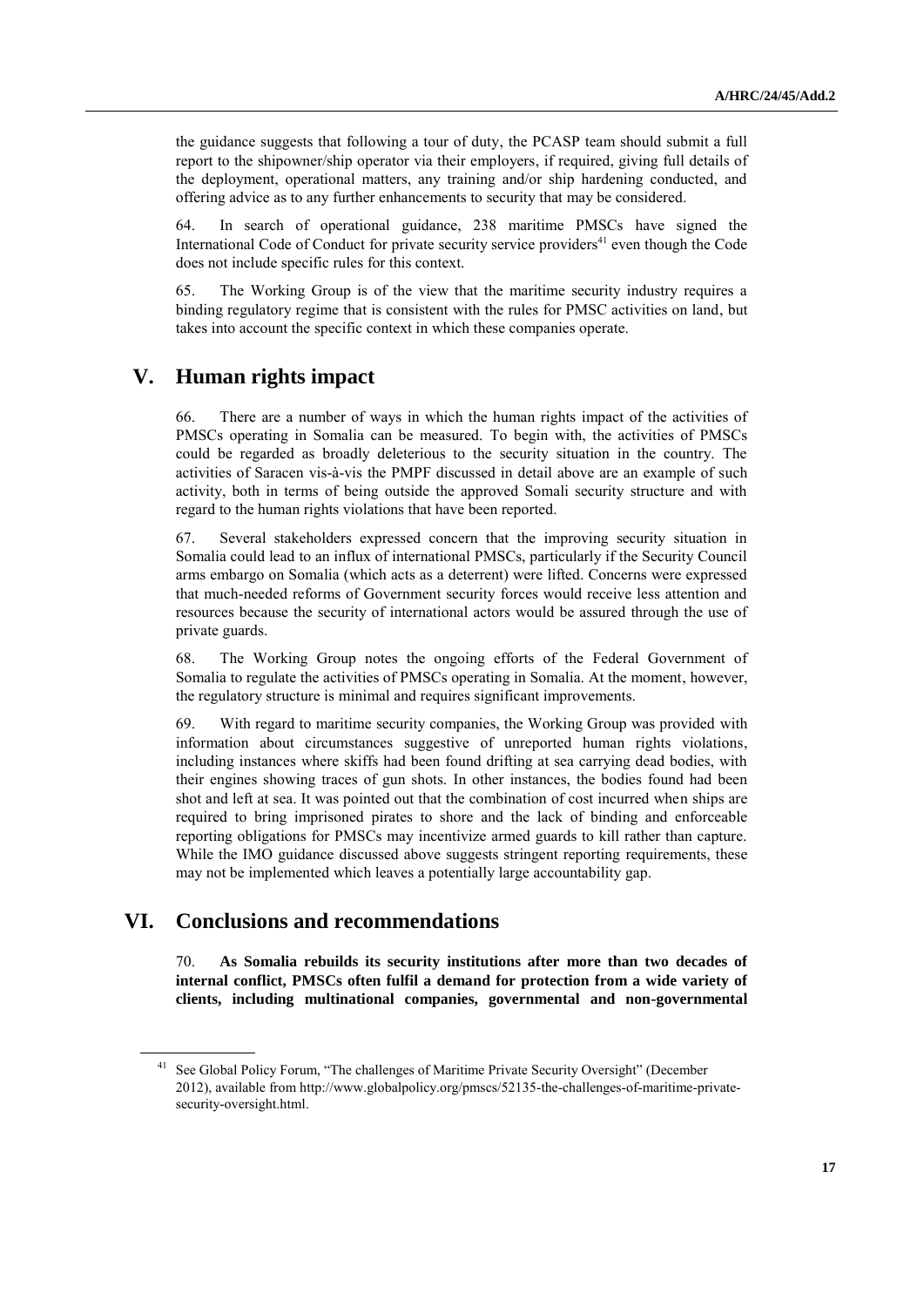the guidance suggests that following a tour of duty, the PCASP team should submit a full report to the shipowner/ship operator via their employers, if required, giving full details of the deployment, operational matters, any training and/or ship hardening conducted, and offering advice as to any further enhancements to security that may be considered.

64. In search of operational guidance, 238 maritime PMSCs have signed the International Code of Conduct for private security service providers $41$  even though the Code does not include specific rules for this context.

65. The Working Group is of the view that the maritime security industry requires a binding regulatory regime that is consistent with the rules for PMSC activities on land, but takes into account the specific context in which these companies operate.

# **V. Human rights impact**

66. There are a number of ways in which the human rights impact of the activities of PMSCs operating in Somalia can be measured. To begin with, the activities of PMSCs could be regarded as broadly deleterious to the security situation in the country. The activities of Saracen vis-à-vis the PMPF discussed in detail above are an example of such activity, both in terms of being outside the approved Somali security structure and with regard to the human rights violations that have been reported.

67. Several stakeholders expressed concern that the improving security situation in Somalia could lead to an influx of international PMSCs, particularly if the Security Council arms embargo on Somalia (which acts as a deterrent) were lifted. Concerns were expressed that much-needed reforms of Government security forces would receive less attention and resources because the security of international actors would be assured through the use of private guards.

68. The Working Group notes the ongoing efforts of the Federal Government of Somalia to regulate the activities of PMSCs operating in Somalia. At the moment, however, the regulatory structure is minimal and requires significant improvements.

69. With regard to maritime security companies, the Working Group was provided with information about circumstances suggestive of unreported human rights violations, including instances where skiffs had been found drifting at sea carrying dead bodies, with their engines showing traces of gun shots. In other instances, the bodies found had been shot and left at sea. It was pointed out that the combination of cost incurred when ships are required to bring imprisoned pirates to shore and the lack of binding and enforceable reporting obligations for PMSCs may incentivize armed guards to kill rather than capture. While the IMO guidance discussed above suggests stringent reporting requirements, these may not be implemented which leaves a potentially large accountability gap.

# **VI. Conclusions and recommendations**

70. **As Somalia rebuilds its security institutions after more than two decades of internal conflict, PMSCs often fulfil a demand for protection from a wide variety of clients, including multinational companies, governmental and non-governmental** 

<sup>&</sup>lt;sup>41</sup> See Global Policy Forum, "The challenges of Maritime Private Security Oversight" (December 2012), available from http://www.globalpolicy.org/pmscs/52135-the-challenges-of-maritime-privatesecurity-oversight.html.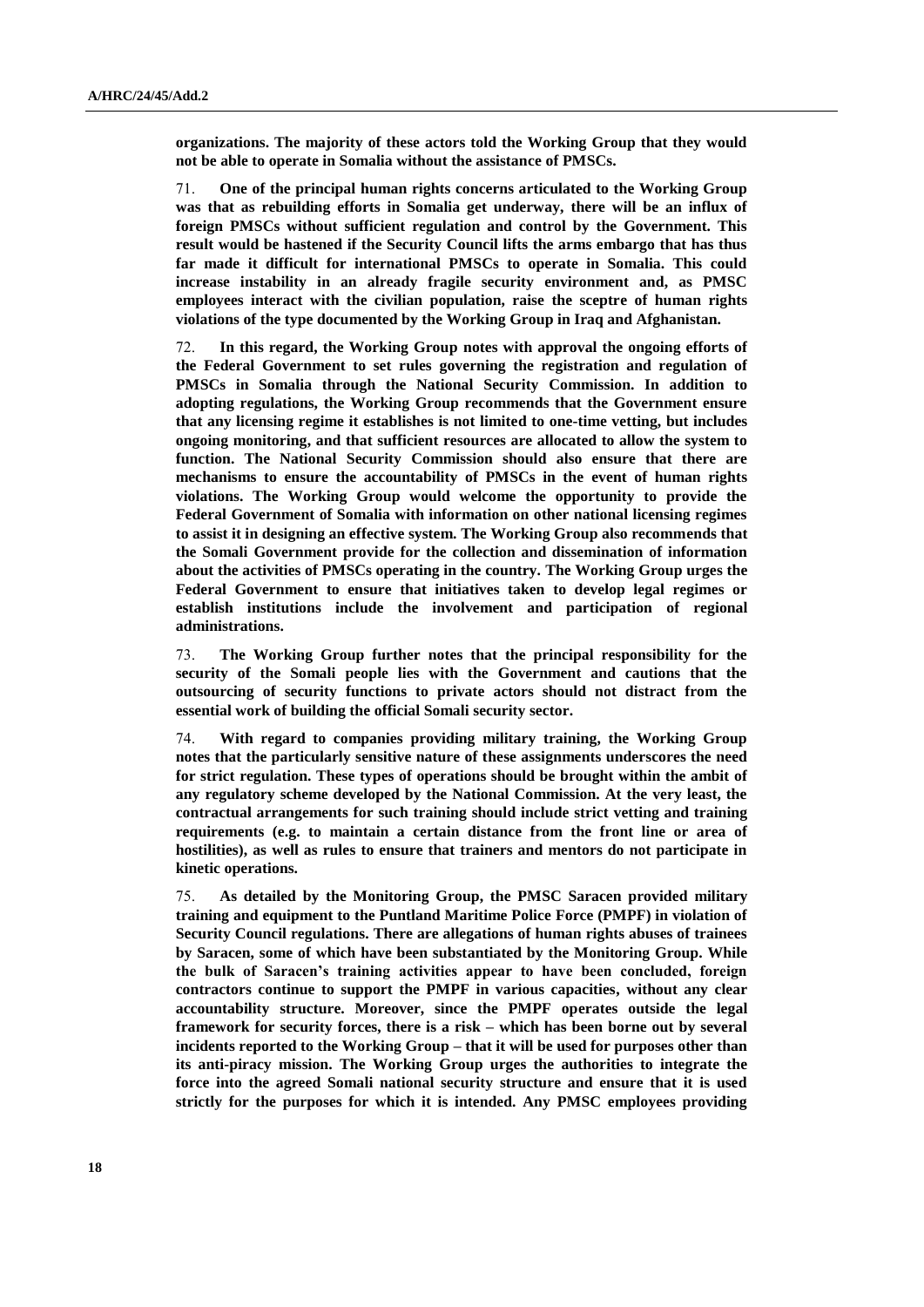**organizations. The majority of these actors told the Working Group that they would not be able to operate in Somalia without the assistance of PMSCs.**

71. **One of the principal human rights concerns articulated to the Working Group was that as rebuilding efforts in Somalia get underway, there will be an influx of foreign PMSCs without sufficient regulation and control by the Government. This result would be hastened if the Security Council lifts the arms embargo that has thus far made it difficult for international PMSCs to operate in Somalia. This could increase instability in an already fragile security environment and, as PMSC employees interact with the civilian population, raise the sceptre of human rights violations of the type documented by the Working Group in Iraq and Afghanistan.**

72. **In this regard, the Working Group notes with approval the ongoing efforts of the Federal Government to set rules governing the registration and regulation of PMSCs in Somalia through the National Security Commission. In addition to adopting regulations, the Working Group recommends that the Government ensure that any licensing regime it establishes is not limited to one-time vetting, but includes ongoing monitoring, and that sufficient resources are allocated to allow the system to function. The National Security Commission should also ensure that there are mechanisms to ensure the accountability of PMSCs in the event of human rights violations. The Working Group would welcome the opportunity to provide the Federal Government of Somalia with information on other national licensing regimes to assist it in designing an effective system. The Working Group also recommends that the Somali Government provide for the collection and dissemination of information about the activities of PMSCs operating in the country. The Working Group urges the Federal Government to ensure that initiatives taken to develop legal regimes or establish institutions include the involvement and participation of regional administrations.**

73. **The Working Group further notes that the principal responsibility for the security of the Somali people lies with the Government and cautions that the outsourcing of security functions to private actors should not distract from the essential work of building the official Somali security sector.**

74. **With regard to companies providing military training, the Working Group notes that the particularly sensitive nature of these assignments underscores the need for strict regulation. These types of operations should be brought within the ambit of any regulatory scheme developed by the National Commission. At the very least, the contractual arrangements for such training should include strict vetting and training requirements (e.g. to maintain a certain distance from the front line or area of hostilities), as well as rules to ensure that trainers and mentors do not participate in kinetic operations.**

75. **As detailed by the Monitoring Group, the PMSC Saracen provided military training and equipment to the Puntland Maritime Police Force (PMPF) in violation of Security Council regulations. There are allegations of human rights abuses of trainees by Saracen, some of which have been substantiated by the Monitoring Group. While the bulk of Saracen's training activities appear to have been concluded, foreign contractors continue to support the PMPF in various capacities, without any clear accountability structure. Moreover, since the PMPF operates outside the legal framework for security forces, there is a risk – which has been borne out by several incidents reported to the Working Group – that it will be used for purposes other than its anti-piracy mission. The Working Group urges the authorities to integrate the force into the agreed Somali national security structure and ensure that it is used strictly for the purposes for which it is intended. Any PMSC employees providing**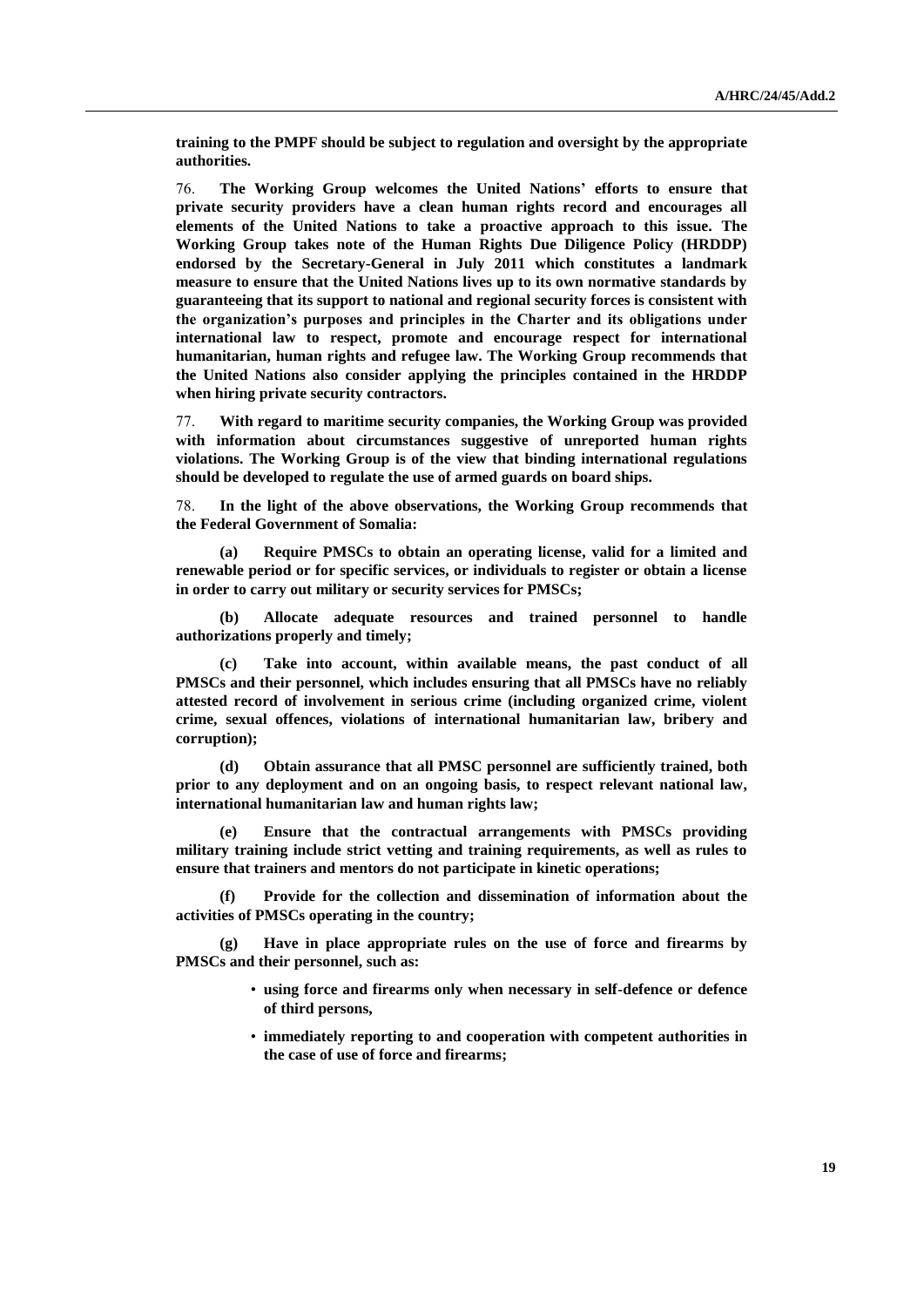**training to the PMPF should be subject to regulation and oversight by the appropriate authorities.**

76. **The Working Group welcomes the United Nations' efforts to ensure that private security providers have a clean human rights record and encourages all elements of the United Nations to take a proactive approach to this issue. The Working Group takes note of the Human Rights Due Diligence Policy (HRDDP) endorsed by the Secretary-General in July 2011 which constitutes a landmark measure to ensure that the United Nations lives up to its own normative standards by guaranteeing that its support to national and regional security forces is consistent with the organization's purposes and principles in the Charter and its obligations under international law to respect, promote and encourage respect for international humanitarian, human rights and refugee law. The Working Group recommends that the United Nations also consider applying the principles contained in the HRDDP when hiring private security contractors.**

77. **With regard to maritime security companies, the Working Group was provided with information about circumstances suggestive of unreported human rights violations. The Working Group is of the view that binding international regulations should be developed to regulate the use of armed guards on board ships.**

78. **In the light of the above observations, the Working Group recommends that the Federal Government of Somalia:**

**(a) Require PMSCs to obtain an operating license, valid for a limited and renewable period or for specific services, or individuals to register or obtain a license in order to carry out military or security services for PMSCs;**

**(b) Allocate adequate resources and trained personnel to handle authorizations properly and timely;**

**(c) Take into account, within available means, the past conduct of all PMSCs and their personnel, which includes ensuring that all PMSCs have no reliably attested record of involvement in serious crime (including organized crime, violent crime, sexual offences, violations of international humanitarian law, bribery and corruption);**

**(d) Obtain assurance that all PMSC personnel are sufficiently trained, both prior to any deployment and on an ongoing basis, to respect relevant national law, international humanitarian law and human rights law;**

**(e) Ensure that the contractual arrangements with PMSCs providing military training include strict vetting and training requirements, as well as rules to ensure that trainers and mentors do not participate in kinetic operations;**

**(f) Provide for the collection and dissemination of information about the activities of PMSCs operating in the country;**

**(g) Have in place appropriate rules on the use of force and firearms by PMSCs and their personnel, such as:** 

- **using force and firearms only when necessary in self-defence or defence of third persons,**
- **immediately reporting to and cooperation with competent authorities in the case of use of force and firearms;**